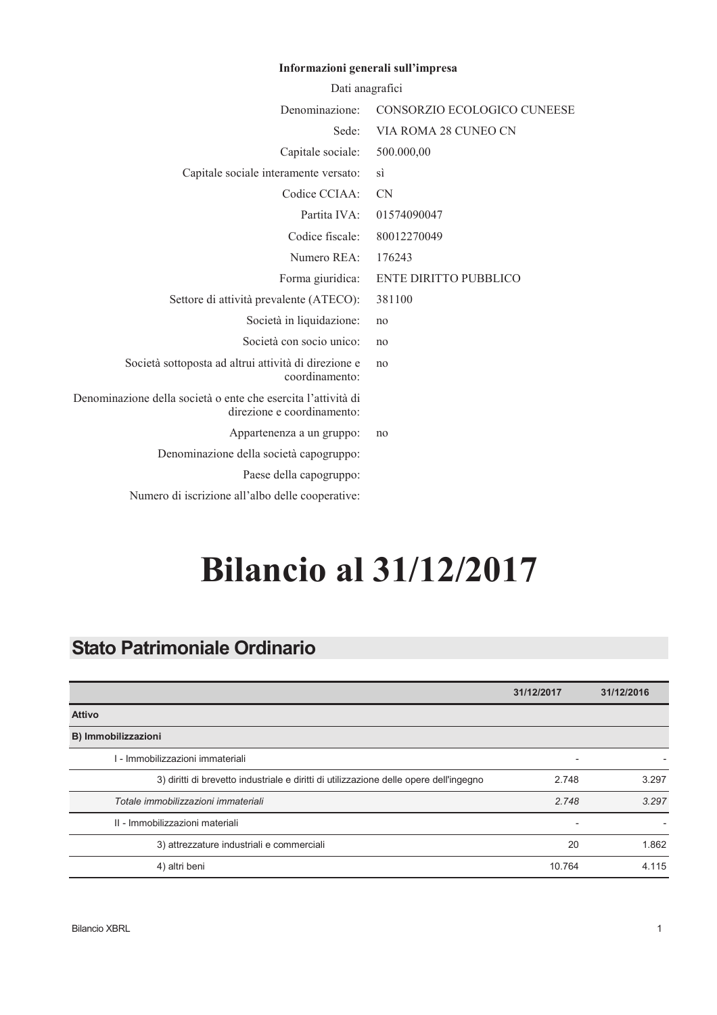| Dati anagrafici                                                                             |                              |  |
|---------------------------------------------------------------------------------------------|------------------------------|--|
| Denominazione:                                                                              | CONSORZIO ECOLOGICO CUNEESE  |  |
| Sede:                                                                                       | VIA ROMA 28 CUNEO CN         |  |
| Capitale sociale:                                                                           | 500.000,00                   |  |
| Capitale sociale interamente versato:                                                       | sì                           |  |
| Codice CCIAA:                                                                               | <b>CN</b>                    |  |
| Partita IVA:                                                                                | 01574090047                  |  |
| Codice fiscale:                                                                             | 80012270049                  |  |
| Numero REA:                                                                                 | 176243                       |  |
| Forma giuridica:                                                                            | <b>ENTE DIRITTO PUBBLICO</b> |  |
| Settore di attività prevalente (ATECO):                                                     | 381100                       |  |
| Società in liquidazione:                                                                    | no                           |  |
| Società con socio unico:                                                                    | no                           |  |
| Società sottoposta ad altrui attività di direzione e<br>coordinamento:                      | no                           |  |
| Denominazione della società o ente che esercita l'attività di<br>direzione e coordinamento: |                              |  |
| Appartenenza a un gruppo:                                                                   | no                           |  |
| Denominazione della società capogruppo:                                                     |                              |  |
| Paese della capogruppo:                                                                     |                              |  |
| Numero di iscrizione all'albo delle cooperative:                                            |                              |  |
|                                                                                             |                              |  |

#### Informazioni generali sull'impresa

# **Bilancio al 31/12/2017**

# **Stato Patrimoniale Ordinario**

|                                                                                        | 31/12/2017               | 31/12/2016 |
|----------------------------------------------------------------------------------------|--------------------------|------------|
| <b>Attivo</b>                                                                          |                          |            |
| B) Immobilizzazioni                                                                    |                          |            |
| I - Immobilizzazioni immateriali                                                       | $\overline{\phantom{0}}$ |            |
| 3) diritti di brevetto industriale e diritti di utilizzazione delle opere dell'ingegno | 2.748                    | 3.297      |
| Totale immobilizzazioni immateriali                                                    | 2.748                    | 3.297      |
| II - Immobilizzazioni materiali                                                        | $\overline{\phantom{0}}$ |            |
| 3) attrezzature industriali e commerciali                                              | 20                       | 1.862      |
| 4) altri beni                                                                          | 10.764                   | 4.115      |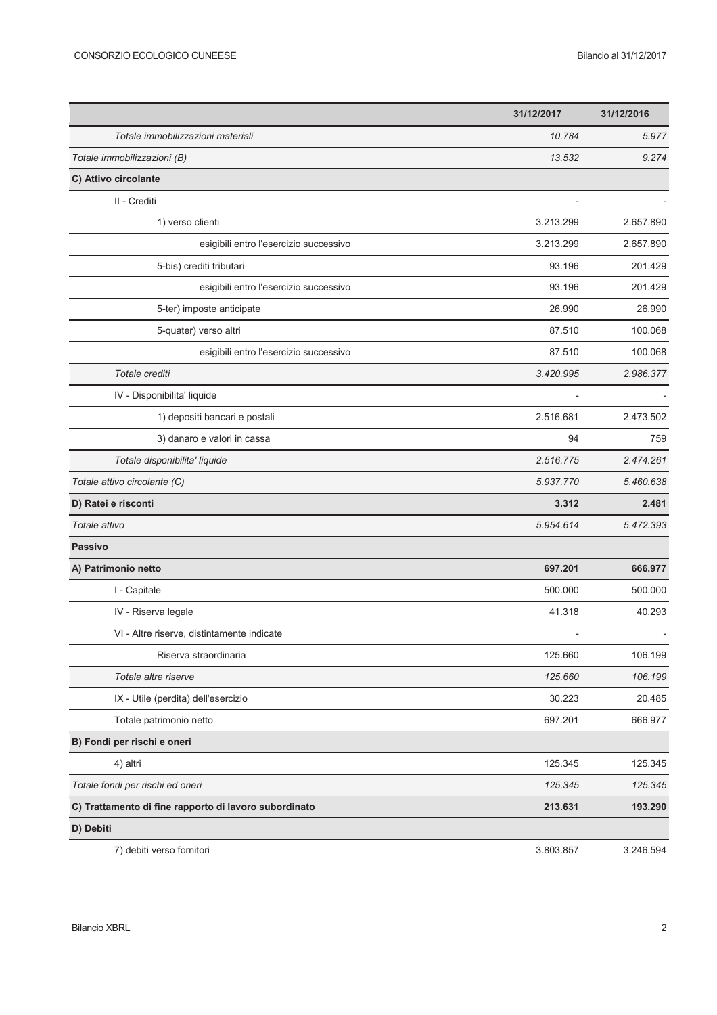|                                                       | 31/12/2017 | 31/12/2016 |
|-------------------------------------------------------|------------|------------|
| Totale immobilizzazioni materiali                     | 10.784     | 5.977      |
| Totale immobilizzazioni (B)                           | 13.532     | 9.274      |
| C) Attivo circolante                                  |            |            |
| II - Crediti                                          |            |            |
| 1) verso clienti                                      | 3.213.299  | 2.657.890  |
| esigibili entro l'esercizio successivo                | 3.213.299  | 2.657.890  |
| 5-bis) crediti tributari                              | 93.196     | 201.429    |
| esigibili entro l'esercizio successivo                | 93.196     | 201.429    |
| 5-ter) imposte anticipate                             | 26.990     | 26.990     |
| 5-quater) verso altri                                 | 87.510     | 100.068    |
| esigibili entro l'esercizio successivo                | 87.510     | 100.068    |
| Totale crediti                                        | 3.420.995  | 2.986.377  |
| IV - Disponibilita' liquide                           |            |            |
| 1) depositi bancari e postali                         | 2.516.681  | 2.473.502  |
| 3) danaro e valori in cassa                           | 94         | 759        |
| Totale disponibilita' liquide                         | 2.516.775  | 2.474.261  |
| Totale attivo circolante (C)                          | 5.937.770  | 5.460.638  |
| D) Ratei e risconti                                   | 3.312      | 2.481      |
| Totale attivo                                         | 5.954.614  | 5.472.393  |
| <b>Passivo</b>                                        |            |            |
| A) Patrimonio netto                                   | 697.201    | 666.977    |
| I - Capitale                                          | 500.000    | 500.000    |
| IV - Riserva legale                                   | 41.318     | 40.293     |
| VI - Altre riserve, distintamente indicate            |            |            |
| Riserva straordinaria                                 | 125.660    | 106.199    |
| Totale altre riserve                                  | 125.660    | 106.199    |
| IX - Utile (perdita) dell'esercizio                   | 30.223     | 20.485     |
| Totale patrimonio netto                               | 697.201    | 666.977    |
| B) Fondi per rischi e oneri                           |            |            |
| 4) altri                                              | 125.345    | 125.345    |
| Totale fondi per rischi ed oneri                      | 125.345    | 125.345    |
| C) Trattamento di fine rapporto di lavoro subordinato | 213.631    | 193.290    |
| D) Debiti                                             |            |            |
| 7) debiti verso fornitori                             | 3.803.857  | 3.246.594  |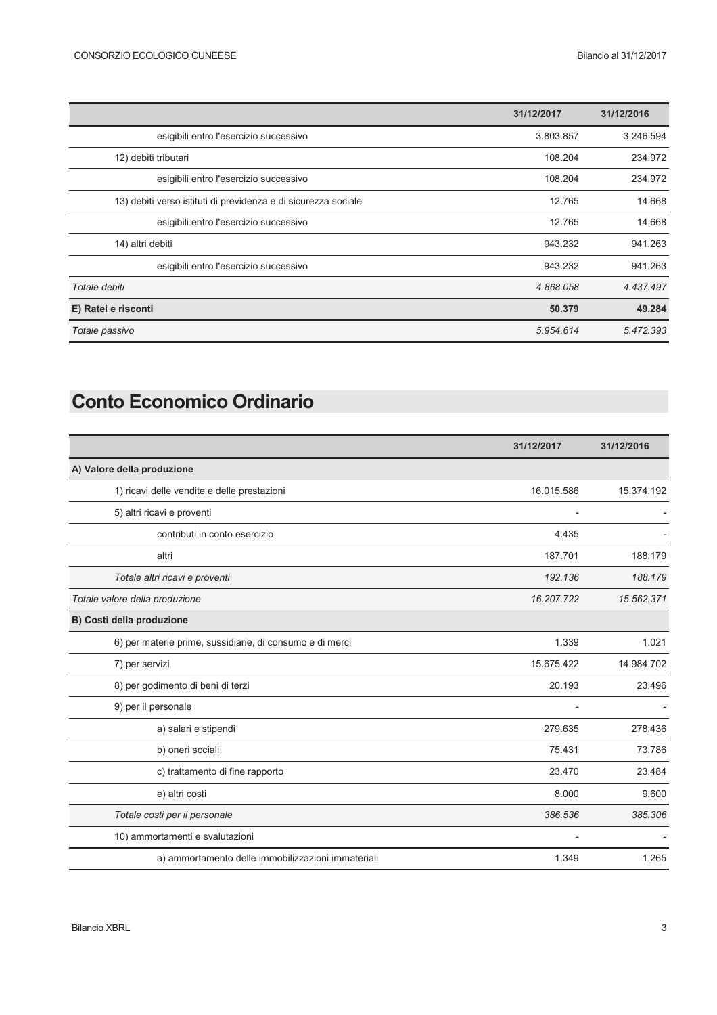|                                                                | 31/12/2017 | 31/12/2016 |
|----------------------------------------------------------------|------------|------------|
| esigibili entro l'esercizio successivo                         | 3.803.857  | 3.246.594  |
| 12) debiti tributari                                           | 108.204    | 234.972    |
| esigibili entro l'esercizio successivo                         | 108.204    | 234.972    |
| 13) debiti verso istituti di previdenza e di sicurezza sociale | 12.765     | 14.668     |
| esigibili entro l'esercizio successivo                         | 12.765     | 14.668     |
| 14) altri debiti                                               | 943.232    | 941.263    |
| esigibili entro l'esercizio successivo                         | 943.232    | 941.263    |
| Totale debiti                                                  | 4.868.058  | 4.437.497  |
| E) Ratei e risconti                                            | 50.379     | 49.284     |
| Totale passivo                                                 | 5.954.614  | 5.472.393  |

# **Conto Economico Ordinario**

|                                                          | 31/12/2017 | 31/12/2016 |
|----------------------------------------------------------|------------|------------|
| A) Valore della produzione                               |            |            |
| 1) ricavi delle vendite e delle prestazioni              | 16.015.586 | 15.374.192 |
| 5) altri ricavi e proventi                               |            |            |
| contributi in conto esercizio                            | 4.435      |            |
| altri                                                    | 187.701    | 188.179    |
| Totale altri ricavi e proventi                           | 192.136    | 188.179    |
| Totale valore della produzione                           | 16.207.722 | 15.562.371 |
| B) Costi della produzione                                |            |            |
| 6) per materie prime, sussidiarie, di consumo e di merci | 1.339      | 1.021      |
| 7) per servizi                                           | 15.675.422 | 14.984.702 |
| 8) per godimento di beni di terzi                        | 20.193     | 23.496     |
| 9) per il personale                                      |            |            |
| a) salari e stipendi                                     | 279.635    | 278.436    |
| b) oneri sociali                                         | 75.431     | 73.786     |
| c) trattamento di fine rapporto                          | 23.470     | 23.484     |
| e) altri costi                                           | 8.000      | 9.600      |
| Totale costi per il personale                            | 386.536    | 385.306    |
| 10) ammortamenti e svalutazioni                          |            |            |
| a) ammortamento delle immobilizzazioni immateriali       | 1.349      | 1.265      |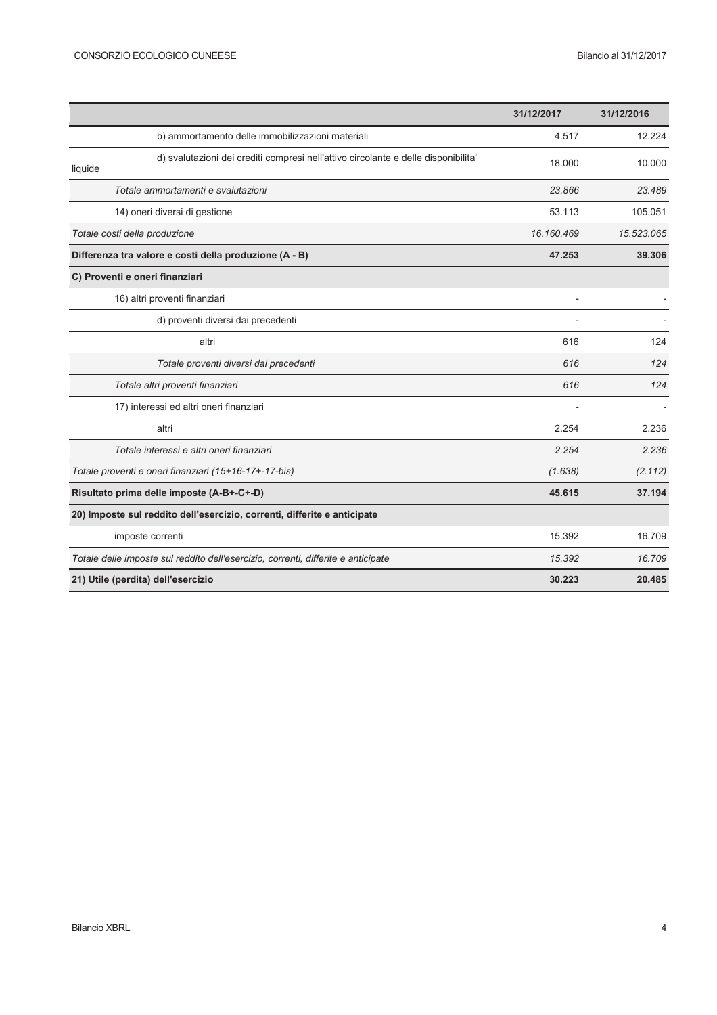|                                                                                               | 31/12/2017     | 31/12/2016 |
|-----------------------------------------------------------------------------------------------|----------------|------------|
| b) ammortamento delle immobilizzazioni materiali                                              | 4.517          | 12.224     |
| d) svalutazioni dei crediti compresi nell'attivo circolante e delle disponibilita'<br>liquide | 18.000         | 10.000     |
| Totale ammortamenti e svalutazioni                                                            | 23.866         | 23.489     |
| 14) oneri diversi di gestione                                                                 | 53.113         | 105.051    |
| Totale costi della produzione                                                                 | 16.160.469     | 15.523.065 |
| Differenza tra valore e costi della produzione (A - B)                                        | 47.253         | 39.306     |
| C) Proventi e oneri finanziari                                                                |                |            |
| 16) altri proventi finanziari                                                                 | $\overline{a}$ |            |
| d) proventi diversi dai precedenti                                                            |                |            |
| altri                                                                                         | 616            | 124        |
| Totale proventi diversi dai precedenti                                                        | 616            | 124        |
| Totale altri proventi finanziari                                                              | 616            | 124        |
| 17) interessi ed altri oneri finanziari                                                       |                |            |
| altri                                                                                         | 2.254          | 2.236      |
| Totale interessi e altri oneri finanziari                                                     | 2.254          | 2.236      |
| Totale proventi e oneri finanziari (15+16-17+-17-bis)                                         | (1.638)        | (2.112)    |
| Risultato prima delle imposte (A-B+-C+-D)                                                     | 45.615         | 37.194     |
| 20) Imposte sul reddito dell'esercizio, correnti, differite e anticipate                      |                |            |
| imposte correnti                                                                              | 15.392         | 16.709     |
| Totale delle imposte sul reddito dell'esercizio, correnti, differite e anticipate             | 15.392         | 16.709     |
| 21) Utile (perdita) dell'esercizio                                                            | 30.223         | 20.485     |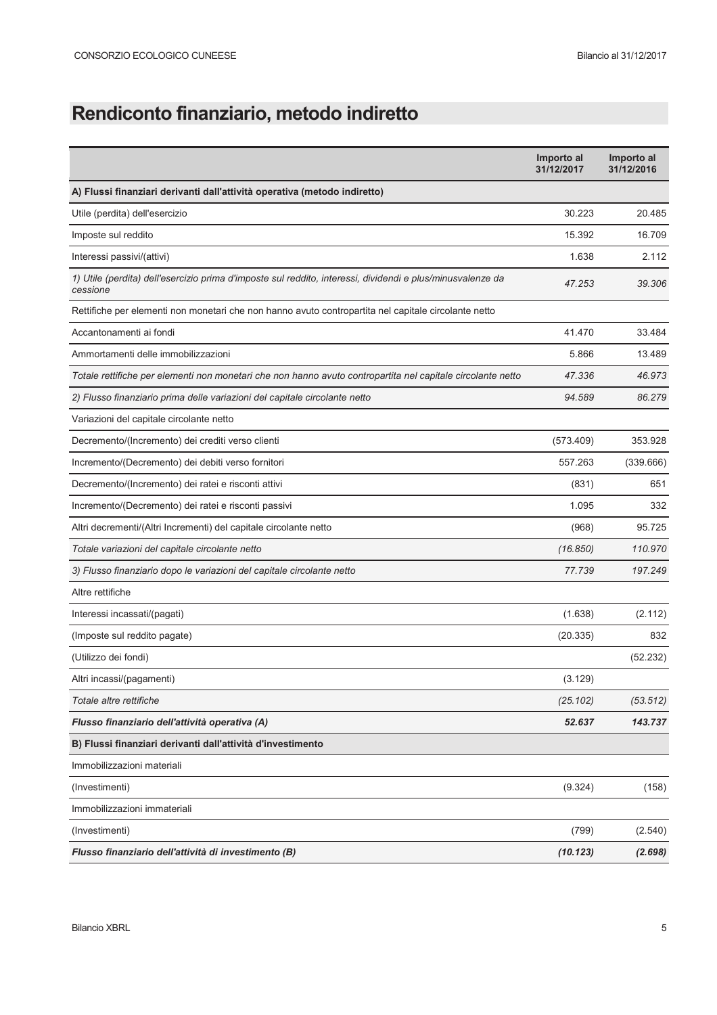# Rendiconto finanziario, metodo indiretto

|                                                                                                                        | Importo al<br>31/12/2017 | Importo al<br>31/12/2016 |
|------------------------------------------------------------------------------------------------------------------------|--------------------------|--------------------------|
| A) Flussi finanziari derivanti dall'attività operativa (metodo indiretto)                                              |                          |                          |
| Utile (perdita) dell'esercizio                                                                                         | 30.223                   | 20.485                   |
| Imposte sul reddito                                                                                                    | 15.392                   | 16.709                   |
| Interessi passivi/(attivi)                                                                                             | 1.638                    | 2.112                    |
| 1) Utile (perdita) dell'esercizio prima d'imposte sul reddito, interessi, dividendi e plus/minusvalenze da<br>cessione | 47.253                   | 39.306                   |
| Rettifiche per elementi non monetari che non hanno avuto contropartita nel capitale circolante netto                   |                          |                          |
| Accantonamenti ai fondi                                                                                                | 41.470                   | 33.484                   |
| Ammortamenti delle immobilizzazioni                                                                                    | 5.866                    | 13.489                   |
| Totale rettifiche per elementi non monetari che non hanno avuto contropartita nel capitale circolante netto            | 47.336                   | 46.973                   |
| 2) Flusso finanziario prima delle variazioni del capitale circolante netto                                             | 94.589                   | 86.279                   |
| Variazioni del capitale circolante netto                                                                               |                          |                          |
| Decremento/(Incremento) dei crediti verso clienti                                                                      | (573.409)                | 353.928                  |
| Incremento/(Decremento) dei debiti verso fornitori                                                                     | 557.263                  | (339.666)                |
| Decremento/(Incremento) dei ratei e risconti attivi                                                                    | (831)                    | 651                      |
| Incremento/(Decremento) dei ratei e risconti passivi                                                                   | 1.095                    | 332                      |
| Altri decrementi/(Altri Incrementi) del capitale circolante netto                                                      | (968)                    | 95.725                   |
| Totale variazioni del capitale circolante netto                                                                        | (16.850)                 | 110.970                  |
| 3) Flusso finanziario dopo le variazioni del capitale circolante netto                                                 | 77.739                   | 197.249                  |
| Altre rettifiche                                                                                                       |                          |                          |
| Interessi incassati/(pagati)                                                                                           | (1.638)                  | (2.112)                  |
| (Imposte sul reddito pagate)                                                                                           | (20.335)                 | 832                      |
| (Utilizzo dei fondi)                                                                                                   |                          | (52.232)                 |
| Altri incassi/(pagamenti)                                                                                              | (3.129)                  |                          |
| Totale altre rettifiche                                                                                                | (25.102)                 | (53.512)                 |
| Flusso finanziario dell'attività operativa (A)                                                                         | 52.637                   | 143.737                  |
| B) Flussi finanziari derivanti dall'attività d'investimento                                                            |                          |                          |
| Immobilizzazioni materiali                                                                                             |                          |                          |
| (Investimenti)                                                                                                         | (9.324)                  | (158)                    |
| Immobilizzazioni immateriali                                                                                           |                          |                          |
| (Investimenti)                                                                                                         | (799)                    | (2.540)                  |
| Flusso finanziario dell'attività di investimento (B)                                                                   | (10.123)                 | (2.698)                  |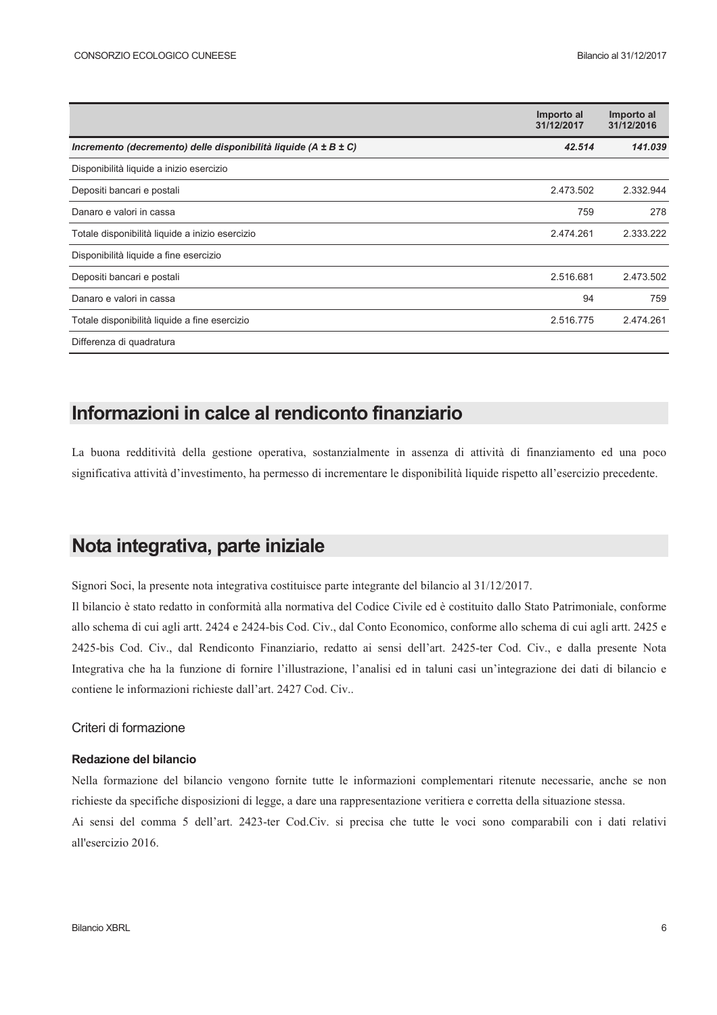|                                                                         | Importo al<br>31/12/2017 | Importo al<br>31/12/2016 |
|-------------------------------------------------------------------------|--------------------------|--------------------------|
| Incremento (decremento) delle disponibilità liquide ( $A \pm B \pm C$ ) | 42.514                   | 141.039                  |
| Disponibilità liquide a inizio esercizio                                |                          |                          |
| Depositi bancari e postali                                              | 2.473.502                | 2.332.944                |
| Danaro e valori in cassa                                                | 759                      | 278                      |
| Totale disponibilità liquide a inizio esercizio                         | 2.474.261                | 2.333.222                |
| Disponibilità liquide a fine esercizio                                  |                          |                          |
| Depositi bancari e postali                                              | 2.516.681                | 2.473.502                |
| Danaro e valori in cassa                                                | 94                       | 759                      |
| Totale disponibilità liquide a fine esercizio                           | 2.516.775                | 2.474.261                |
| Differenza di quadratura                                                |                          |                          |

# Informazioni in calce al rendiconto finanziario

La buona redditività della gestione operativa, sostanzialmente in assenza di attività di finanziamento ed una poco significativa attività d'investimento, ha permesso di incrementare le disponibilità liquide rispetto all'esercizio precedente.

### Nota integrativa, parte iniziale

Signori Soci, la presente nota integrativa costituisce parte integrante del bilancio al 31/12/2017.

Il bilancio è stato redatto in conformità alla normativa del Codice Civile ed è costituito dallo Stato Patrimoniale, conforme allo schema di cui agli artt. 2424 e 2424-bis Cod. Civ., dal Conto Economico, conforme allo schema di cui agli artt. 2425 e 2425-bis Cod. Civ., dal Rendiconto Finanziario, redatto ai sensi dell'art. 2425-ter Cod. Civ., e dalla presente Nota Integrativa che ha la funzione di fornire l'illustrazione, l'analisi ed in taluni casi un'integrazione dei dati di bilancio e contiene le informazioni richieste dall'art. 2427 Cod. Civ...

#### Criteri di formazione

#### Redazione del bilancio

Nella formazione del bilancio vengono fornite tutte le informazioni complementari ritenute necessarie, anche se non richieste da specifiche disposizioni di legge, a dare una rappresentazione veritiera e corretta della situazione stessa.

Ai sensi del comma 5 dell'art. 2423-ter Cod.Civ. si precisa che tutte le voci sono comparabili con i dati relativi all'esercizio 2016.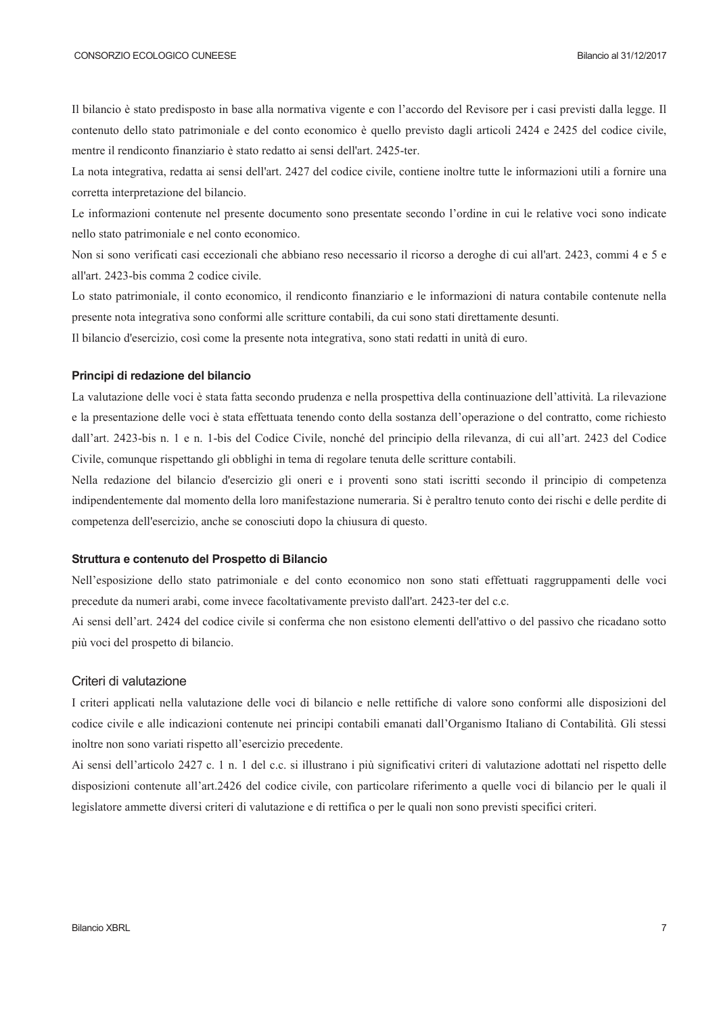Il bilancio è stato predisposto in base alla normativa vigente e con l'accordo del Revisore per i casi previsti dalla legge. Il contenuto dello stato patrimoniale e del conto economico è quello previsto dagli articoli 2424 e 2425 del codice civile, mentre il rendiconto finanziario è stato redatto ai sensi dell'art. 2425-ter.

La nota integrativa, redatta ai sensi dell'art. 2427 del codice civile, contiene inoltre tutte le informazioni utili a fornire una corretta interpretazione del bilancio.

Le informazioni contenute nel presente documento sono presentate secondo l'ordine in cui le relative voci sono indicate nello stato patrimoniale e nel conto economico.

Non si sono verificati casi eccezionali che abbiano reso necessario il ricorso a deroghe di cui all'art. 2423, commi 4 e 5 e all'art. 2423-bis comma 2 codice civile.

Lo stato patrimoniale, il conto economico, il rendiconto finanziario e le informazioni di natura contabile contenute nella presente nota integrativa sono conformi alle scritture contabili, da cui sono stati direttamente desunti.

Il bilancio d'esercizio, così come la presente nota integrativa, sono stati redatti in unità di euro.

#### Principi di redazione del bilancio

La valutazione delle voci è stata fatta secondo prudenza e nella prospettiva della continuazione dell'attività. La rilevazione e la presentazione delle voci è stata effettuata tenendo conto della sostanza dell'operazione o del contratto, come richiesto dall'art. 2423-bis n. 1 e n. 1-bis del Codice Civile, nonché del principio della rilevanza, di cui all'art. 2423 del Codice Civile, comunque rispettando gli obblighi in tema di regolare tenuta delle scritture contabili.

Nella redazione del bilancio d'esercizio gli oneri e i proventi sono stati iscritti secondo il principio di competenza indipendentemente dal momento della loro manifestazione numeraria. Si è peraltro tenuto conto dei rischi e delle perdite di competenza dell'esercizio, anche se conosciuti dopo la chiusura di questo.

#### Struttura e contenuto del Prospetto di Bilancio

Nell'esposizione dello stato patrimoniale e del conto economico non sono stati effettuati raggruppamenti delle voci precedute da numeri arabi, come invece facoltativamente previsto dall'art. 2423-ter del c.c.

Ai sensi dell'art. 2424 del codice civile si conferma che non esistono elementi dell'attivo o del passivo che ricadano sotto più voci del prospetto di bilancio.

#### Criteri di valutazione

I criteri applicati nella valutazione delle voci di bilancio e nelle rettifiche di valore sono conformi alle disposizioni del codice civile e alle indicazioni contenute nei principi contabili emanati dall'Organismo Italiano di Contabilità. Gli stessi inoltre non sono variati rispetto all'esercizio precedente.

Ai sensi dell'articolo 2427 c. 1 n. 1 del c.c. si illustrano i più significativi criteri di valutazione adottati nel rispetto delle disposizioni contenute all'art.2426 del codice civile, con particolare riferimento a quelle voci di bilancio per le quali il legislatore ammette diversi criteri di valutazione e di rettifica o per le quali non sono previsti specifici criteri.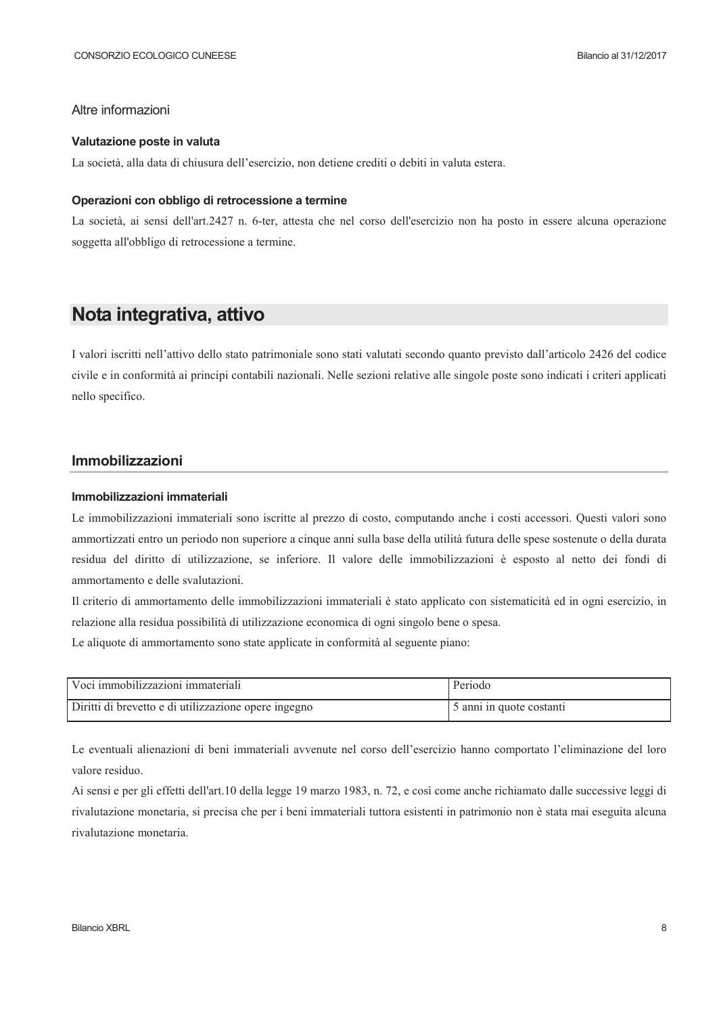#### Altre informazioni

#### Valutazione poste in valuta

La società, alla data di chiusura dell'esercizio, non detiene crediti o debiti in valuta estera.

#### Operazioni con obbligo di retrocessione a termine

La società, ai sensi dell'art.2427 n. 6-ter, attesta che nel corso dell'esercizio non ha posto in essere alcuna operazione soggetta all'obbligo di retrocessione a termine.

### Nota integrativa, attivo

I valori iscritti nell'attivo dello stato patrimoniale sono stati valutati secondo quanto previsto dall'articolo 2426 del codice civile e in conformità ai principi contabili nazionali. Nelle sezioni relative alle singole poste sono indicati i criteri applicati nello specifico.

#### Immobilizzazioni

#### Immobilizzazioni immateriali

Le immobilizzazioni immateriali sono iscritte al prezzo di costo, computando anche i costi accessori. Questi valori sono ammortizzati entro un periodo non superiore a cinque anni sulla base della utilità futura delle spese sostenute o della durata residua del diritto di utilizzazione, se inferiore. Il valore delle immobilizzazioni è esposto al netto dei fondi di ammortamento e delle svalutazioni.

Il criterio di ammortamento delle immobilizzazioni immateriali è stato applicato con sistematicità ed in ogni esercizio, in relazione alla residua possibilità di utilizzazione economica di ogni singolo bene o spesa.

Le aliquote di ammortamento sono state applicate in conformità al seguente piano:

| Voci immobilizzazioni immateriali                    | Periodo                  |
|------------------------------------------------------|--------------------------|
| Diritti di brevetto e di utilizzazione opere ingegno | 5 anni in quote costanti |

Le eventuali alienazioni di beni immateriali avvenute nel corso dell'esercizio hanno comportato l'eliminazione del loro valore residuo.

Ai sensi e per gli effetti dell'art.10 della legge 19 marzo 1983, n. 72, e così come anche richiamato dalle successive leggi di rivalutazione monetaria, si precisa che per i beni immateriali tuttora esistenti in patrimonio non è stata mai eseguita alcuna rivalutazione monetaria.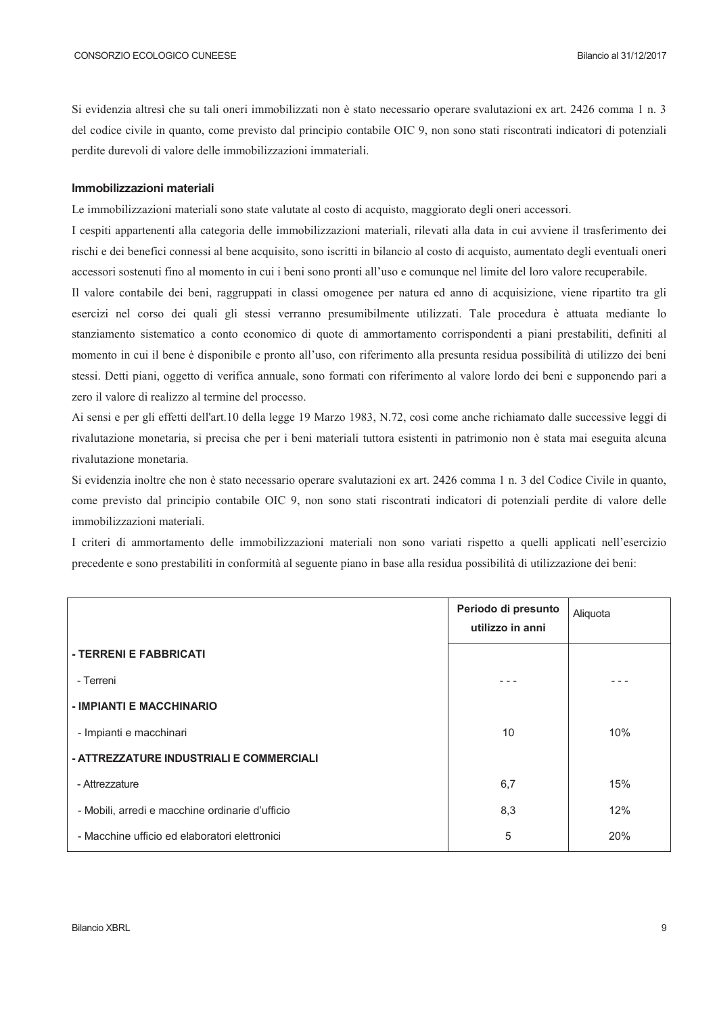Si evidenzia altresì che su tali oneri immobilizzati non è stato necessario operare svalutazioni ex art. 2426 comma 1 n. 3 del codice civile in quanto, come previsto dal principio contabile OIC 9, non sono stati riscontrati indicatori di potenziali perdite durevoli di valore delle immobilizzazioni immateriali.

#### Immobilizzazioni materiali

Le immobilizzazioni materiali sono state valutate al costo di acquisto, maggiorato degli oneri accessori.

I cespiti appartenenti alla categoria delle immobilizzazioni materiali, rilevati alla data in cui avviene il trasferimento dei rischi e dei benefici connessi al bene acquisito, sono iscritti in bilancio al costo di acquisto, aumentato degli eventuali oneri accessori sostenuti fino al momento in cui i beni sono pronti all'uso e comunque nel limite del loro valore recuperabile.

Il valore contabile dei beni, raggruppati in classi omogenee per natura ed anno di acquisizione, viene ripartito tra gli esercizi nel corso dei quali gli stessi verranno presumibilmente utilizzati. Tale procedura è attuata mediante lo stanziamento sistematico a conto economico di quote di ammortamento corrispondenti a piani prestabiliti, definiti al momento in cui il bene è disponibile e pronto all'uso, con riferimento alla presunta residua possibilità di utilizzo dei beni stessi. Detti piani, oggetto di verifica annuale, sono formati con riferimento al valore lordo dei beni e supponendo pari a zero il valore di realizzo al termine del processo.

Ai sensi e per gli effetti dell'art.10 della legge 19 Marzo 1983, N.72, così come anche richiamato dalle successive leggi di rivalutazione monetaria, si precisa che per i beni materiali tuttora esistenti in patrimonio non è stata mai eseguita alcuna rivalutazione monetaria

Si evidenzia inoltre che non è stato necessario operare svalutazioni ex art. 2426 comma 1 n. 3 del Codice Civile in quanto, come previsto dal principio contabile OIC 9, non sono stati riscontrati indicatori di potenziali perdite di valore delle immobilizzazioni materiali.

I criteri di ammortamento delle immobilizzazioni materiali non sono variati rispetto a quelli applicati nell'esercizio precedente e sono prestabiliti in conformità al seguente piano in base alla residua possibilità di utilizzazione dei beni:

|                                                 | Periodo di presunto<br>utilizzo in anni | Aliquota |
|-------------------------------------------------|-----------------------------------------|----------|
| - TERRENI E FABBRICATI                          |                                         |          |
| - Terreni                                       |                                         |          |
| - IMPIANTI E MACCHINARIO                        |                                         |          |
| - Impianti e macchinari                         | 10                                      | 10%      |
| - ATTREZZATURE INDUSTRIALI E COMMERCIALI        |                                         |          |
| - Attrezzature                                  | 6,7                                     | 15%      |
| - Mobili, arredi e macchine ordinarie d'ufficio | 8,3                                     | 12%      |
| - Macchine ufficio ed elaboratori elettronici   | 5                                       | 20%      |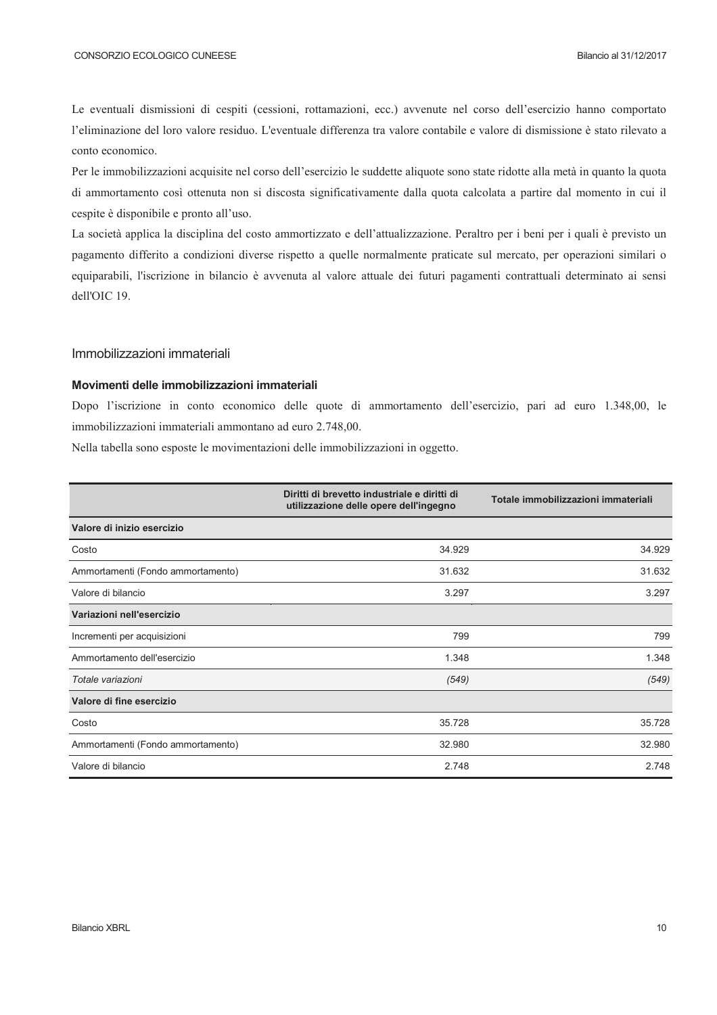Le eventuali dismissioni di cespiti (cessioni, rottamazioni, ecc.) avvenute nel corso dell'esercizio hanno comportato l'eliminazione del loro valore residuo. L'eventuale differenza tra valore contabile e valore di dismissione è stato rilevato a conto economico.

Per le immobilizzazioni acquisite nel corso dell'esercizio le suddette aliquote sono state ridotte alla metà in quanto la quota di ammortamento così ottenuta non si discosta significativamente dalla quota calcolata a partire dal momento in cui il cespite è disponibile e pronto all'uso.

La società applica la disciplina del costo ammortizzato e dell'attualizzazione. Peraltro per i beni per i quali è previsto un pagamento differito a condizioni diverse rispetto a quelle normalmente praticate sul mercato, per operazioni similari o equiparabili, l'iscrizione in bilancio è avvenuta al valore attuale dei futuri pagamenti contrattuali determinato ai sensi dell'OIC 19.

#### Immobilizzazioni immateriali

#### Movimenti delle immobilizzazioni immateriali

Dopo l'iscrizione in conto economico delle quote di ammortamento dell'esercizio, pari ad euro 1.348,00, le immobilizzazioni immateriali ammontano ad euro 2.748,00.

Nella tabella sono esposte le movimentazioni delle immobilizzazioni in oggetto.

|                                   | Diritti di brevetto industriale e diritti di<br>utilizzazione delle opere dell'ingegno |        |
|-----------------------------------|----------------------------------------------------------------------------------------|--------|
| Valore di inizio esercizio        |                                                                                        |        |
| Costo                             | 34.929                                                                                 | 34.929 |
| Ammortamenti (Fondo ammortamento) | 31.632                                                                                 | 31.632 |
| Valore di bilancio                | 3.297                                                                                  | 3.297  |
| Variazioni nell'esercizio         |                                                                                        |        |
| Incrementi per acquisizioni       | 799                                                                                    | 799    |
| Ammortamento dell'esercizio       | 1.348                                                                                  | 1.348  |
| Totale variazioni                 | (549)                                                                                  | (549)  |
| Valore di fine esercizio          |                                                                                        |        |
| Costo                             | 35.728                                                                                 | 35.728 |
| Ammortamenti (Fondo ammortamento) | 32.980                                                                                 | 32.980 |
| Valore di bilancio                | 2.748                                                                                  | 2.748  |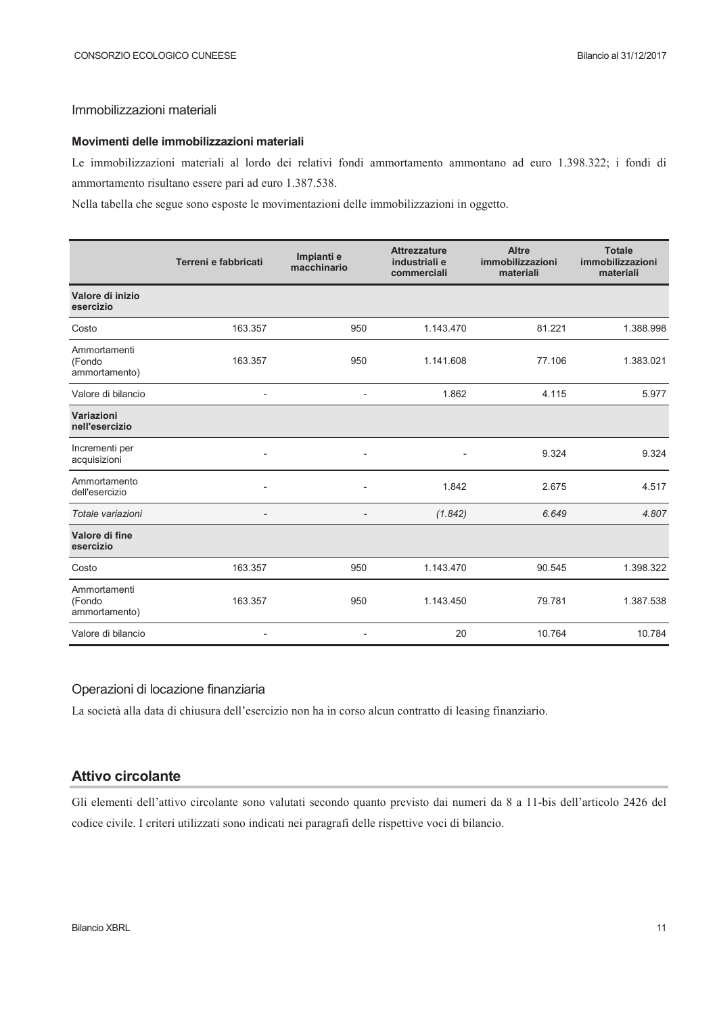#### Immobilizzazioni materiali

#### Movimenti delle immobilizzazioni materiali

Le immobilizzazioni materiali al lordo dei relativi fondi ammortamento ammontano ad euro 1.398.322; i fondi di ammortamento risultano essere pari ad euro 1.387.538.

Nella tabella che segue sono esposte le movimentazioni delle immobilizzazioni in oggetto.

|                                         | Terreni e fabbricati     | Impianti e<br>macchinario | <b>Attrezzature</b><br>industriali e<br>commerciali | <b>Altre</b><br>immobilizzazioni<br>materiali | <b>Totale</b><br>immobilizzazioni<br>materiali |
|-----------------------------------------|--------------------------|---------------------------|-----------------------------------------------------|-----------------------------------------------|------------------------------------------------|
| Valore di inizio<br>esercizio           |                          |                           |                                                     |                                               |                                                |
| Costo                                   | 163.357                  | 950                       | 1.143.470                                           | 81.221                                        | 1.388.998                                      |
| Ammortamenti<br>(Fondo<br>ammortamento) | 163.357                  | 950                       | 1.141.608                                           | 77.106                                        | 1.383.021                                      |
| Valore di bilancio                      | $\overline{\phantom{a}}$ | $\overline{\phantom{a}}$  | 1.862                                               | 4.115                                         | 5.977                                          |
| Variazioni<br>nell'esercizio            |                          |                           |                                                     |                                               |                                                |
| Incrementi per<br>acquisizioni          |                          |                           |                                                     | 9.324                                         | 9.324                                          |
| Ammortamento<br>dell'esercizio          | $\overline{a}$           |                           | 1.842                                               | 2.675                                         | 4.517                                          |
| Totale variazioni                       | $\overline{\phantom{0}}$ |                           | (1.842)                                             | 6.649                                         | 4.807                                          |
| Valore di fine<br>esercizio             |                          |                           |                                                     |                                               |                                                |
| Costo                                   | 163.357                  | 950                       | 1.143.470                                           | 90.545                                        | 1.398.322                                      |
| Ammortamenti<br>(Fondo<br>ammortamento) | 163.357                  | 950                       | 1.143.450                                           | 79.781                                        | 1.387.538                                      |
| Valore di bilancio                      |                          |                           | 20                                                  | 10.764                                        | 10.784                                         |

#### Operazioni di locazione finanziaria

La società alla data di chiusura dell'esercizio non ha in corso alcun contratto di leasing finanziario.

#### Attivo circolante

Gli elementi dell'attivo circolante sono valutati secondo quanto previsto dai numeri da 8 a 11-bis dell'articolo 2426 del codice civile. I criteri utilizzati sono indicati nei paragrafi delle rispettive voci di bilancio.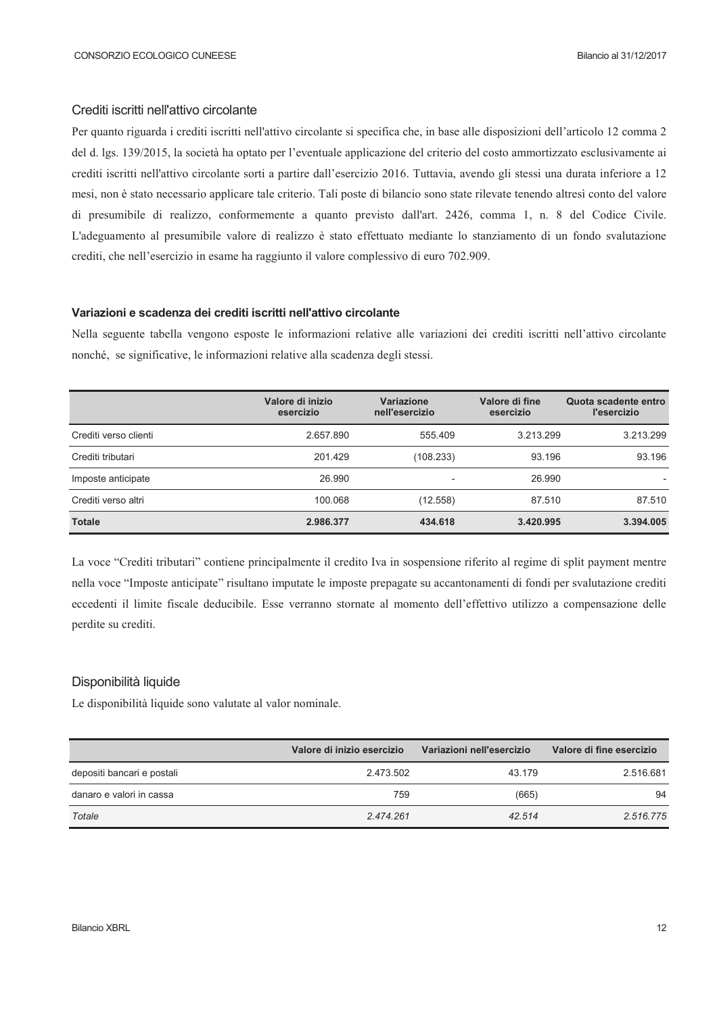#### Crediti iscritti nell'attivo circolante

Per quanto riguarda i crediti iscritti nell'attivo circolante si specifica che, in base alle disposizioni dell'articolo 12 comma 2 del d. lgs. 139/2015, la società ha optato per l'eventuale applicazione del criterio del costo ammortizzato esclusivamente ai crediti iscritti nell'attivo circolante sorti a partire dall'esercizio 2016. Tuttavia, avendo gli stessi una durata inferiore a 12 mesi, non è stato necessario applicare tale criterio. Tali poste di bilancio sono state rilevate tenendo altresì conto del valore di presumibile di realizzo, conformemente a quanto previsto dall'art. 2426, comma 1, n. 8 del Codice Civile. L'adeguamento al presumibile valore di realizzo è stato effettuato mediante lo stanziamento di un fondo svalutazione crediti, che nell'esercizio in esame ha raggiunto il valore complessivo di euro 702.909.

#### Variazioni e scadenza dei crediti iscritti nell'attivo circolante

Nella seguente tabella vengono esposte le informazioni relative alle variazioni dei crediti iscritti nell'attivo circolante nonché, se significative, le informazioni relative alla scadenza degli stessi.

|                       | Valore di inizio<br>esercizio | Variazione<br>nell'esercizio | Valore di fine<br>esercizio | Quota scadente entro<br>l'esercizio |
|-----------------------|-------------------------------|------------------------------|-----------------------------|-------------------------------------|
| Crediti verso clienti | 2.657.890                     | 555.409                      | 3.213.299                   | 3.213.299                           |
| Crediti tributari     | 201.429                       | (108.233)                    | 93.196                      | 93.196                              |
| Imposte anticipate    | 26.990                        |                              | 26.990                      |                                     |
| Crediti verso altri   | 100.068                       | (12.558)                     | 87.510                      | 87.510                              |
| <b>Totale</b>         | 2.986.377                     | 434.618                      | 3.420.995                   | 3.394.005                           |

La voce "Crediti tributari" contiene principalmente il credito Iva in sospensione riferito al regime di split payment mentre nella voce "Imposte anticipate" risultano imputate le imposte prepagate su accantonamenti di fondi per svalutazione crediti eccedenti il limite fiscale deducibile. Esse verranno stornate al momento dell'effettivo utilizzo a compensazione delle perdite su crediti.

#### Disponibilità liquide

Le disponibilità liquide sono valutate al valor nominale.

|                            | Valore di inizio esercizio | Variazioni nell'esercizio | Valore di fine esercizio |
|----------------------------|----------------------------|---------------------------|--------------------------|
| depositi bancari e postali | 2.473.502                  | 43.179                    | 2.516.681                |
| danaro e valori in cassa   | 759                        | (665)                     | 94                       |
| Totale                     | 2.474.261                  | 42.514                    | 2.516.775                |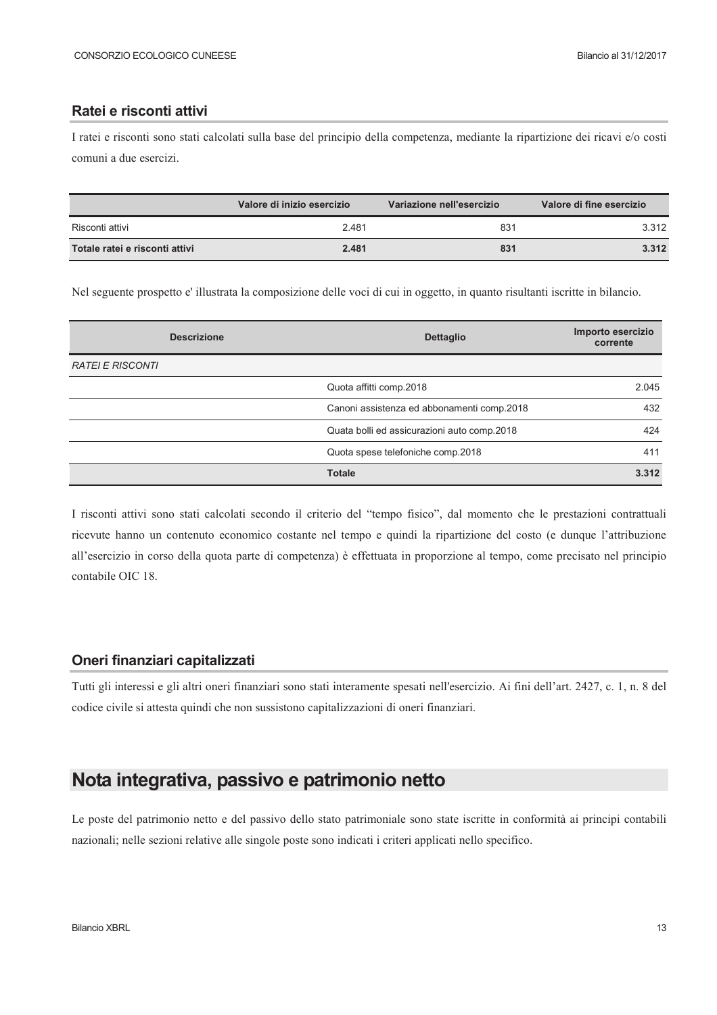#### Ratei e risconti attivi

I ratei e risconti sono stati calcolati sulla base del principio della competenza, mediante la ripartizione dei ricavi e/o costi comuni a due esercizi.

|                                | Valore di inizio esercizio | Variazione nell'esercizio | Valore di fine esercizio |
|--------------------------------|----------------------------|---------------------------|--------------------------|
| Risconti attivi                | 2.481                      | 831                       | 3.312                    |
| Totale ratei e risconti attivi | 2.481                      | 831                       | 3.312                    |

Nel seguente prospetto e' illustrata la composizione delle voci di cui in oggetto, in quanto risultanti iscritte in bilancio.

| <b>Descrizione</b>      | <b>Dettaglio</b>                            | Importo esercizio<br>corrente |
|-------------------------|---------------------------------------------|-------------------------------|
| <b>RATEI E RISCONTI</b> |                                             |                               |
|                         | Quota affitti comp.2018                     | 2.045                         |
|                         | Canoni assistenza ed abbonamenti comp.2018  | 432                           |
|                         | Quata bolli ed assicurazioni auto comp.2018 | 424                           |
|                         | Quota spese telefoniche comp.2018           | 411                           |
|                         | <b>Totale</b>                               | 3.312                         |

I risconti attivi sono stati calcolati secondo il criterio del "tempo fisico", dal momento che le prestazioni contrattuali ricevute hanno un contenuto economico costante nel tempo e quindi la ripartizione del costo (e dunque l'attribuzione all'esercizio in corso della quota parte di competenza) è effettuata in proporzione al tempo, come precisato nel principio contabile OIC 18.

#### Oneri finanziari capitalizzati

Tutti gli interessi e gli altri oneri finanziari sono stati interamente spesati nell'esercizio. Ai fini dell'art. 2427, c. 1, n. 8 del codice civile si attesta quindi che non sussistono capitalizzazioni di oneri finanziari.

# Nota integrativa, passivo e patrimonio netto

Le poste del patrimonio netto e del passivo dello stato patrimoniale sono state iscritte in conformità ai principi contabili nazionali; nelle sezioni relative alle singole poste sono indicati i criteri applicati nello specifico.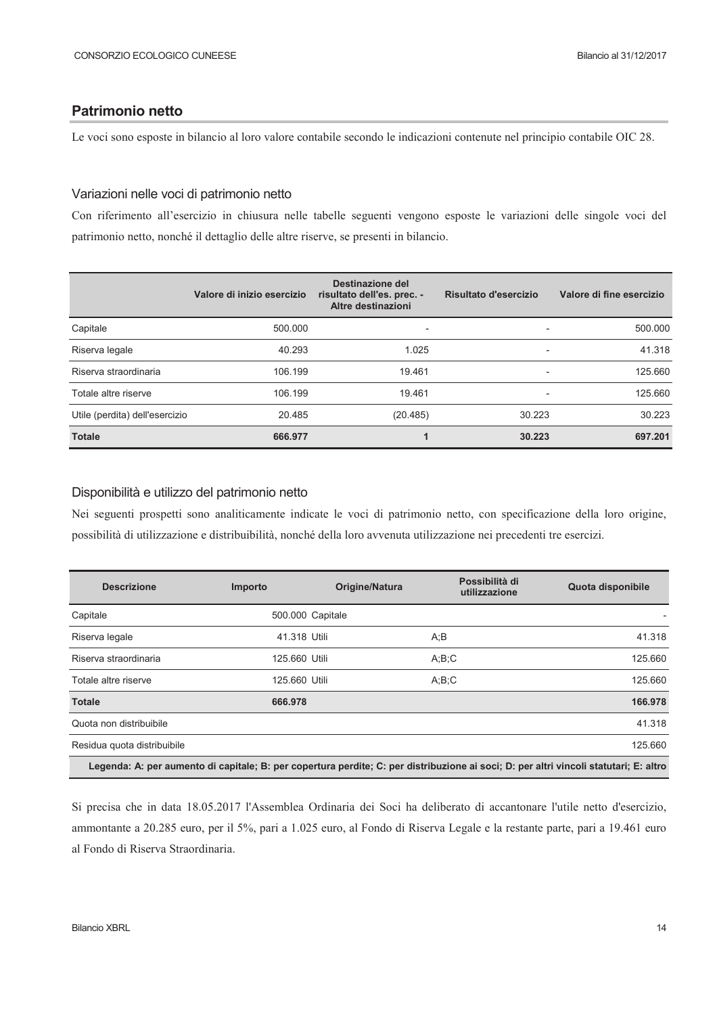#### **Patrimonio netto**

Le voci sono esposte in bilancio al loro valore contabile secondo le indicazioni contenute nel principio contabile OIC 28.

#### Variazioni nelle voci di patrimonio netto

Con riferimento all'esercizio in chiusura nelle tabelle seguenti vengono esposte le variazioni delle singole voci del patrimonio netto, nonché il dettaglio delle altre riserve, se presenti in bilancio.

|                                | Valore di inizio esercizio | Destinazione del<br>risultato dell'es. prec. -<br>Altre destinazioni | Risultato d'esercizio    | Valore di fine esercizio |
|--------------------------------|----------------------------|----------------------------------------------------------------------|--------------------------|--------------------------|
| Capitale                       | 500.000                    | $\overline{\phantom{0}}$                                             | $\overline{\phantom{0}}$ | 500.000                  |
| Riserva legale                 | 40.293                     | 1.025                                                                | $\overline{\phantom{0}}$ | 41.318                   |
| Riserva straordinaria          | 106.199                    | 19.461                                                               | $\overline{\phantom{a}}$ | 125.660                  |
| Totale altre riserve           | 106.199                    | 19.461                                                               | $\overline{\phantom{0}}$ | 125.660                  |
| Utile (perdita) dell'esercizio | 20.485                     | (20.485)                                                             | 30.223                   | 30.223                   |
| <b>Totale</b>                  | 666.977                    |                                                                      | 30.223                   | 697.201                  |

#### Disponibilità e utilizzo del patrimonio netto

Nei seguenti prospetti sono analiticamente indicate le voci di patrimonio netto, con specificazione della loro origine, possibilità di utilizzazione e distribuibilità, nonché della loro avvenuta utilizzazione nei precedenti tre esercizi.

| <b>Descrizione</b>          | Importo       | Origine/Natura   | Possibilità di<br>utilizzazione | Quota disponibile                                                                                                                     |
|-----------------------------|---------------|------------------|---------------------------------|---------------------------------------------------------------------------------------------------------------------------------------|
| Capitale                    |               | 500.000 Capitale |                                 |                                                                                                                                       |
| Riserva legale              | 41.318 Utili  |                  | A;B                             | 41.318                                                                                                                                |
| Riserva straordinaria       | 125,660 Utili |                  | A:B:C                           | 125.660                                                                                                                               |
| Totale altre riserve        | 125,660 Utili |                  | A:B:C                           | 125.660                                                                                                                               |
| <b>Totale</b>               | 666.978       |                  |                                 | 166.978                                                                                                                               |
| Quota non distribuibile     |               |                  |                                 | 41.318                                                                                                                                |
| Residua quota distribuibile |               |                  |                                 | 125.660                                                                                                                               |
|                             |               |                  |                                 | Legenda: A: per aumento di capitale; B: per copertura perdite; C: per distribuzione ai soci; D: per altri vincoli statutari; E: altro |

Si precisa che in data 18.05.2017 l'Assemblea Ordinaria dei Soci ha deliberato di accantonare l'utile netto d'esercizio, ammontante a 20.285 euro, per il 5%, pari a 1.025 euro, al Fondo di Riserva Legale e la restante parte, pari a 19.461 euro al Fondo di Riserva Straordinaria.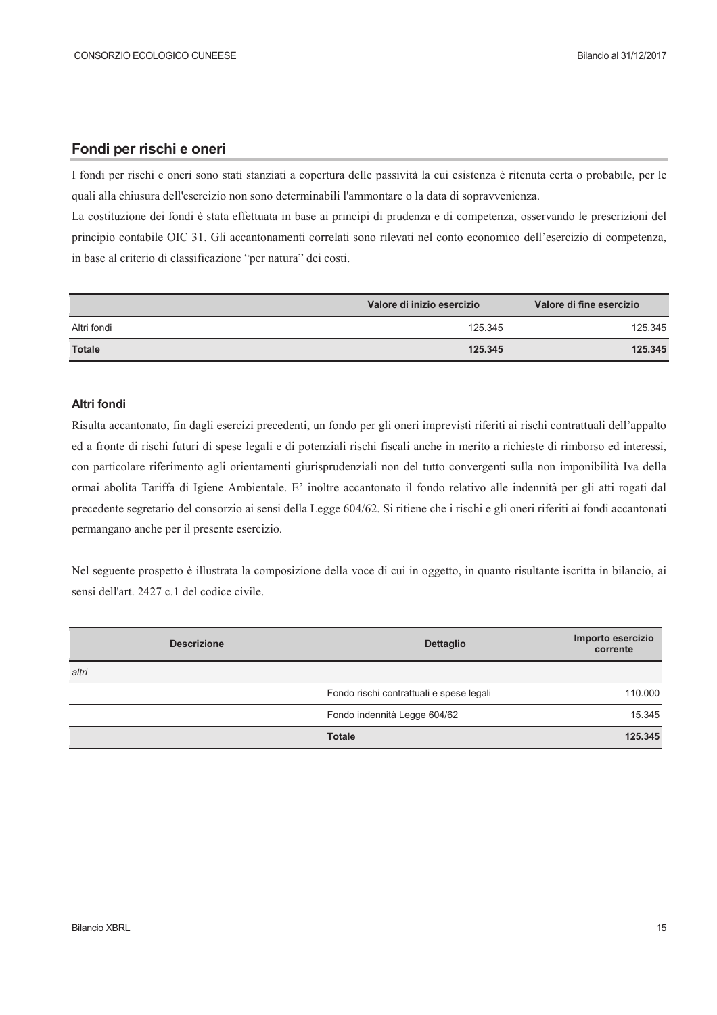#### Fondi per rischi e oneri

I fondi per rischi e oneri sono stati stanziati a copertura delle passività la cui esistenza è ritenuta certa o probabile, per le quali alla chiusura dell'esercizio non sono determinabili l'ammontare o la data di sopravvenienza.

La costituzione dei fondi è stata effettuata in base ai principi di prudenza e di competenza, osservando le prescrizioni del principio contabile OIC 31. Gli accantonamenti correlati sono rilevati nel conto economico dell'esercizio di competenza, in base al criterio di classificazione "per natura" dei costi.

|               | Valore di inizio esercizio | Valore di fine esercizio |
|---------------|----------------------------|--------------------------|
| Altri fondi   | 125.345                    | 125.345                  |
| <b>Totale</b> | 125.345                    | 125,345                  |

#### **Altri fondi**

Risulta accantonato, fin dagli esercizi precedenti, un fondo per gli oneri imprevisti riferiti ai rischi contrattuali dell'appalto ed a fronte di rischi futuri di spese legali e di potenziali rischi fiscali anche in merito a richieste di rimborso ed interessi, con particolare riferimento agli orientamenti giurisprudenziali non del tutto convergenti sulla non imponibilità Iva della ormai abolita Tariffa di Igiene Ambientale. E' inoltre accantonato il fondo relativo alle indennità per gli atti rogati dal precedente segretario del consorzio ai sensi della Legge 604/62. Si ritiene che i rischi e gli oneri riferiti ai fondi accantonati permangano anche per il presente esercizio.

Nel seguente prospetto è illustrata la composizione della voce di cui in oggetto, in quanto risultante iscritta in bilancio, ai sensi dell'art. 2427 c.1 del codice civile.

| <b>Descrizione</b> | <b>Dettaglio</b>                         | Importo esercizio<br>corrente |
|--------------------|------------------------------------------|-------------------------------|
| altri              |                                          |                               |
|                    | Fondo rischi contrattuali e spese legali | 110.000                       |
|                    | Fondo indennità Legge 604/62             | 15.345                        |
|                    | <b>Totale</b>                            | 125.345                       |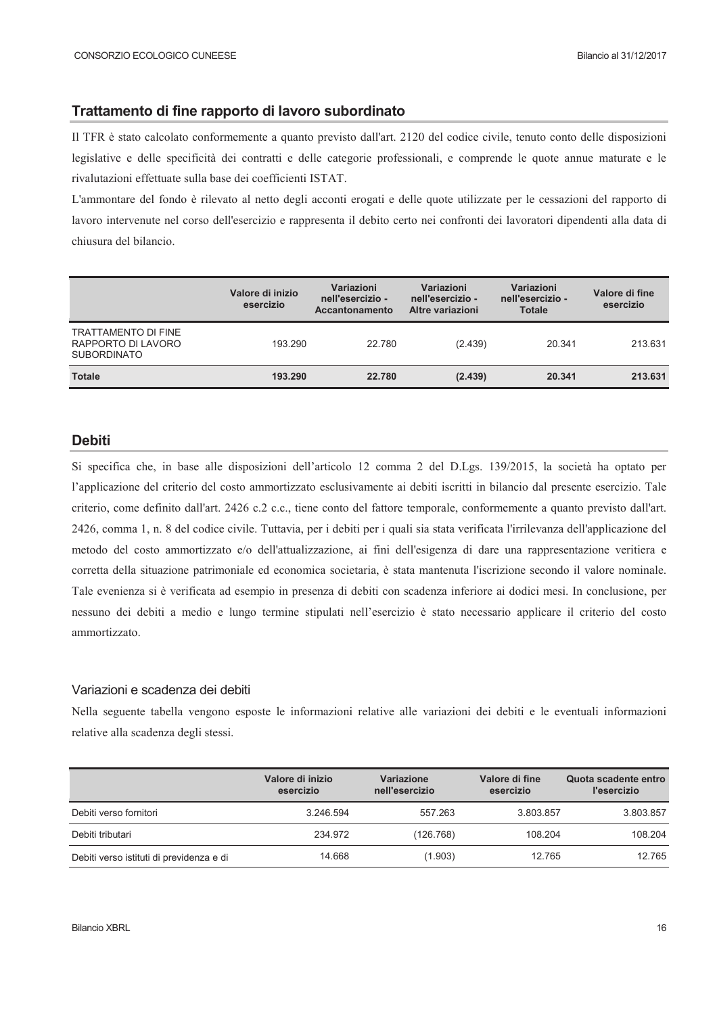#### Trattamento di fine rapporto di lavoro subordinato

Il TFR è stato calcolato conformemente a quanto previsto dall'art. 2120 del codice civile, tenuto conto delle disposizioni legislative e delle specificità dei contratti e delle categorie professionali, e comprende le quote annue maturate e le rivalutazioni effettuate sulla base dei coefficienti ISTAT.

L'ammontare del fondo è rilevato al netto degli acconti erogati e delle quote utilizzate per le cessazioni del rapporto di lavoro intervenute nel corso dell'esercizio e rappresenta il debito certo nei confronti dei lavoratori dipendenti alla data di chiusura del bilancio.

|                                                                        | Valore di inizio<br>esercizio | Variazioni<br>nell'esercizio -<br><b>Accantonamento</b> | Variazioni<br>nell'esercizio -<br>Altre variazioni | Variazioni<br>nell'esercizio -<br><b>Totale</b> | Valore di fine<br>esercizio |
|------------------------------------------------------------------------|-------------------------------|---------------------------------------------------------|----------------------------------------------------|-------------------------------------------------|-----------------------------|
| <b>TRATTAMENTO DI FINE</b><br>RAPPORTO DI LAVORO<br><b>SUBORDINATO</b> | 193.290                       | 22.780                                                  | (2.439)                                            | 20.341                                          | 213.631                     |
| <b>Totale</b>                                                          | 193.290                       | 22.780                                                  | (2.439)                                            | 20.341                                          | 213.631                     |

#### **Debiti**

Si specifica che, in base alle disposizioni dell'articolo 12 comma 2 del D.Lgs. 139/2015, la società ha optato per l'applicazione del criterio del costo ammortizzato esclusivamente ai debiti iscritti in bilancio dal presente esercizio. Tale criterio, come definito dall'art. 2426 c.2 c.c., tiene conto del fattore temporale, conformemente a quanto previsto dall'art. 2426, comma 1, n. 8 del codice civile. Tuttavia, per i debiti per i quali sia stata verificata l'irrilevanza dell'applicazione del metodo del costo ammortizzato e/o dell'attualizzazione, ai fini dell'esigenza di dare una rappresentazione veritiera e corretta della situazione patrimoniale ed economica societaria, è stata mantenuta l'iscrizione secondo il valore nominale. Tale evenienza si è verificata ad esempio in presenza di debiti con scadenza inferiore ai dodici mesi. In conclusione, per nessuno dei debiti a medio e lungo termine stipulati nell'esercizio è stato necessario applicare il criterio del costo ammortizzato

#### Variazioni e scadenza dei debiti

Nella seguente tabella vengono esposte le informazioni relative alle variazioni dei debiti e le eventuali informazioni relative alla scadenza degli stessi.

|                                          | Valore di inizio<br>esercizio | Variazione<br>nell'esercizio | Valore di fine<br>esercizio | Quota scadente entro<br>l'esercizio |
|------------------------------------------|-------------------------------|------------------------------|-----------------------------|-------------------------------------|
| Debiti verso fornitori                   | 3.246.594                     | 557.263                      | 3.803.857                   | 3.803.857                           |
| Debiti tributari                         | 234.972                       | (126.768)                    | 108.204                     | 108.204                             |
| Debiti verso istituti di previdenza e di | 14.668                        | (1.903)                      | 12.765                      | 12.765                              |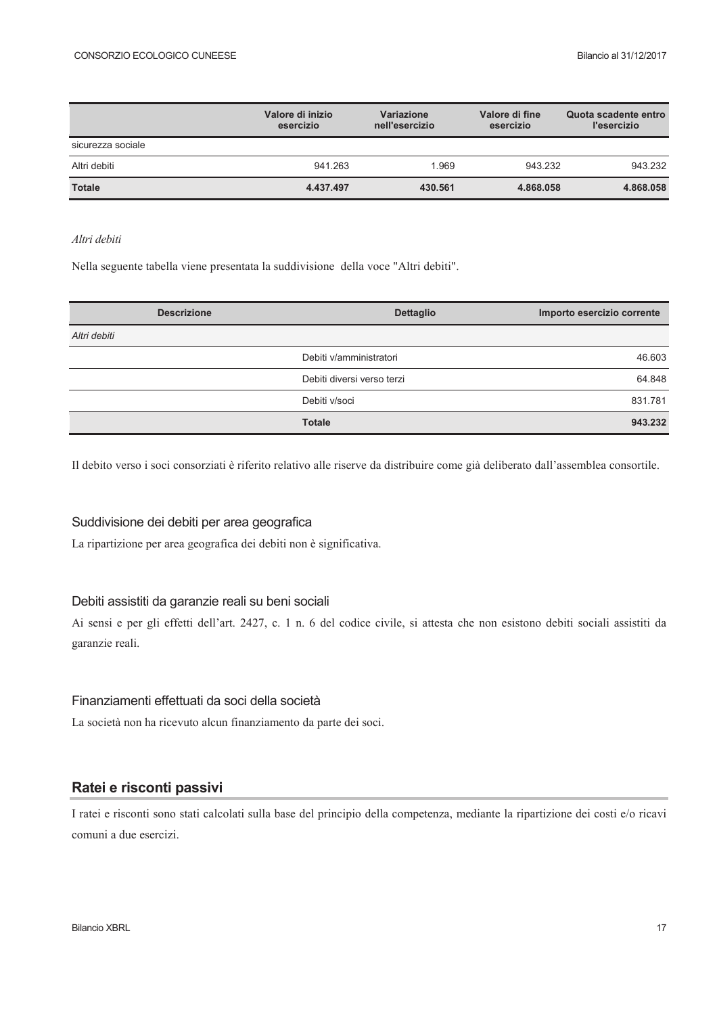|                   | Valore di inizio<br>esercizio | <b>Variazione</b><br>nell'esercizio | Valore di fine<br>esercizio | Quota scadente entro<br>l'esercizio |
|-------------------|-------------------------------|-------------------------------------|-----------------------------|-------------------------------------|
| sicurezza sociale |                               |                                     |                             |                                     |
| Altri debiti      | 941.263                       | 1.969                               | 943.232                     | 943.232                             |
| <b>Totale</b>     | 4.437.497                     | 430.561                             | 4.868.058                   | 4.868.058                           |

#### Altri debiti

Nella seguente tabella viene presentata la suddivisione della voce "Altri debiti".

| <b>Descrizione</b> | <b>Dettaglio</b>           | Importo esercizio corrente |
|--------------------|----------------------------|----------------------------|
| Altri debiti       |                            |                            |
|                    | Debiti v/amministratori    | 46.603                     |
|                    | Debiti diversi verso terzi | 64.848                     |
|                    | Debiti v/soci              | 831.781                    |
|                    | <b>Totale</b>              | 943.232                    |

Il debito verso i soci consorziati è riferito relativo alle riserve da distribuire come già deliberato dall'assemblea consortile.

#### Suddivisione dei debiti per area geografica

La ripartizione per area geografica dei debiti non è significativa.

#### Debiti assistiti da garanzie reali su beni sociali

Ai sensi e per gli effetti dell'art. 2427, c. 1 n. 6 del codice civile, si attesta che non esistono debiti sociali assistiti da garanzie reali.

#### Finanziamenti effettuati da soci della società

La società non ha ricevuto alcun finanziamento da parte dei soci.

#### Ratei e risconti passivi

I ratei e risconti sono stati calcolati sulla base del principio della competenza, mediante la ripartizione dei costi e/o ricavi comuni a due esercizi.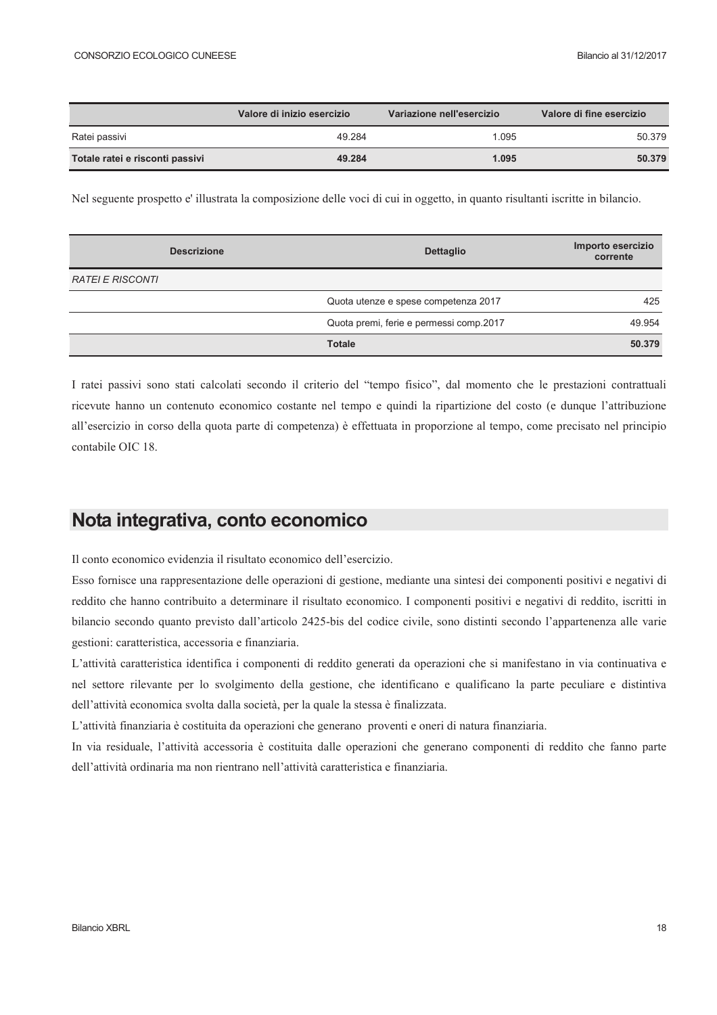|                                 | Valore di inizio esercizio | Variazione nell'esercizio | Valore di fine esercizio |
|---------------------------------|----------------------------|---------------------------|--------------------------|
| Ratei passivi                   | 49.284                     | 1.095                     | 50.379                   |
| Totale ratei e risconti passivi | 49.284                     | 1.095                     | 50.379                   |

Nel seguente prospetto e' illustrata la composizione delle voci di cui in oggetto, in quanto risultanti iscritte in bilancio.

| <b>Descrizione</b>      | <b>Dettaglio</b>                        | Importo esercizio<br>corrente |
|-------------------------|-----------------------------------------|-------------------------------|
| <i>RATEI E RISCONTI</i> |                                         |                               |
|                         | Quota utenze e spese competenza 2017    | 425                           |
|                         | Quota premi, ferie e permessi comp.2017 | 49.954                        |
|                         | <b>Totale</b>                           | 50.379                        |

I ratei passivi sono stati calcolati secondo il criterio del "tempo fisico", dal momento che le prestazioni contrattuali ricevute hanno un contenuto economico costante nel tempo e quindi la ripartizione del costo (e dunque l'attribuzione all'esercizio in corso della quota parte di competenza) è effettuata in proporzione al tempo, come precisato nel principio contabile OIC 18.

### Nota integrativa, conto economico

Il conto economico evidenzia il risultato economico dell'esercizio.

Esso fornisce una rappresentazione delle operazioni di gestione, mediante una sintesi dei componenti positivi e negativi di reddito che hanno contribuito a determinare il risultato economico. I componenti positivi e negativi di reddito, iscritti in bilancio secondo quanto previsto dall'articolo 2425-bis del codice civile, sono distinti secondo l'appartenenza alle varie gestioni: caratteristica, accessoria e finanziaria.

L'attività caratteristica identifica i componenti di reddito generati da operazioni che si manifestano in via continuativa e nel settore rilevante per lo svolgimento della gestione, che identificano e qualificano la parte peculiare e distintiva dell'attività economica svolta dalla società, per la quale la stessa è finalizzata.

L'attività finanziaria è costituita da operazioni che generano proventi e oneri di natura finanziaria.

In via residuale, l'attività accessoria è costituita dalle operazioni che generano componenti di reddito che fanno parte dell'attività ordinaria ma non rientrano nell'attività caratteristica e finanziaria.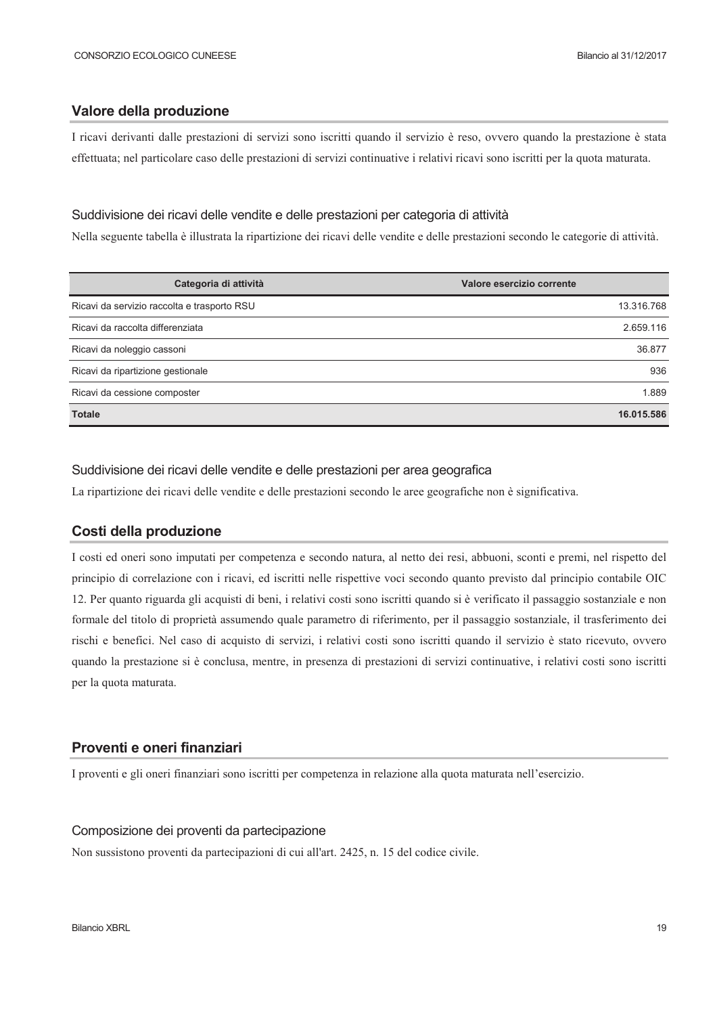#### Valore della produzione

I ricavi derivanti dalle prestazioni di servizi sono iscritti quando il servizio è reso, ovvero quando la prestazione è stata effettuata; nel particolare caso delle prestazioni di servizi continuative i relativi ricavi sono iscritti per la quota maturata.

#### Suddivisione dei ricavi delle vendite e delle prestazioni per categoria di attività

Nella seguente tabella è illustrata la ripartizione dei ricavi delle vendite e delle prestazioni secondo le categorie di attività.

| Categoria di attività                       | Valore esercizio corrente |
|---------------------------------------------|---------------------------|
| Ricavi da servizio raccolta e trasporto RSU | 13.316.768                |
| Ricavi da raccolta differenziata            | 2.659.116                 |
| Ricavi da noleggio cassoni                  | 36.877                    |
| Ricavi da ripartizione gestionale           | 936                       |
| Ricavi da cessione composter                | 1.889                     |
| <b>Totale</b>                               | 16.015.586                |

#### Suddivisione dei ricavi delle vendite e delle prestazioni per area geografica

La ripartizione dei ricavi delle vendite e delle prestazioni secondo le aree geografiche non è significativa.

#### Costi della produzione

I costi ed oneri sono imputati per competenza e secondo natura, al netto dei resi, abbuoni, sconti e premi, nel rispetto del principio di correlazione con i ricavi, ed iscritti nelle rispettive voci secondo quanto previsto dal principio contabile OIC 12. Per quanto riguarda gli acquisti di beni, i relativi costi sono iscritti quando si è verificato il passaggio sostanziale e non formale del titolo di proprietà assumendo quale parametro di riferimento, per il passaggio sostanziale, il trasferimento dei rischi e benefici. Nel caso di acquisto di servizi, i relativi costi sono iscritti quando il servizio è stato ricevuto, ovvero quando la prestazione si è conclusa, mentre, in presenza di prestazioni di servizi continuative, i relativi costi sono iscritti per la quota maturata.

#### Proventi e oneri finanziari

I proventi e gli oneri finanziari sono iscritti per competenza in relazione alla quota maturata nell'esercizio.

#### Composizione dei proventi da partecipazione

Non sussistono proventi da partecipazioni di cui all'art. 2425, n. 15 del codice civile.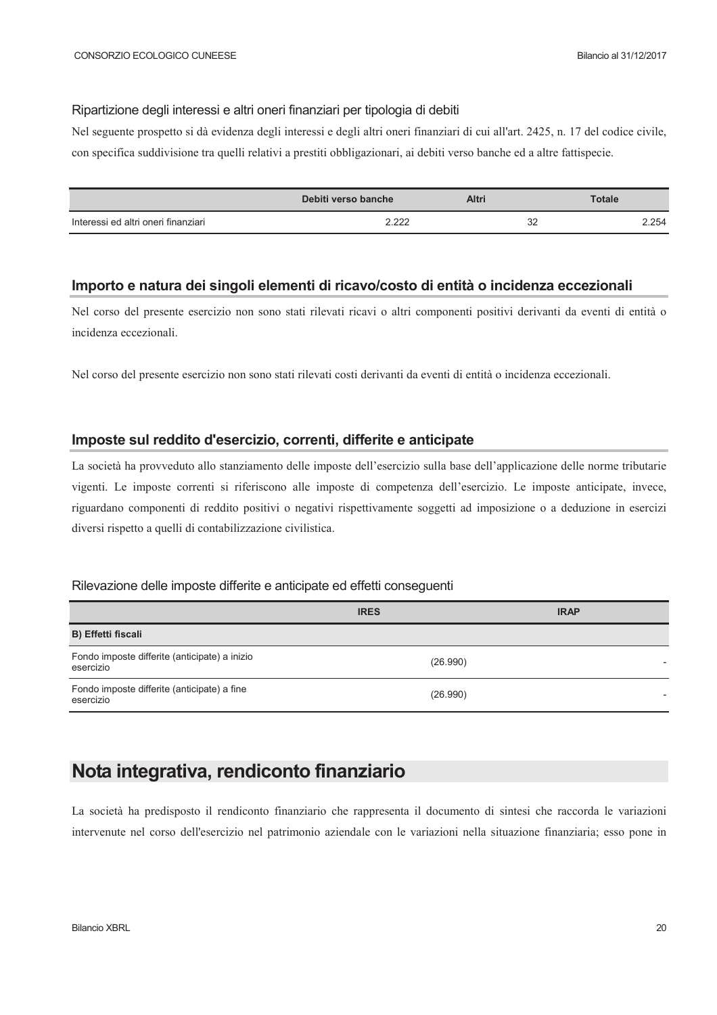#### Ripartizione degli interessi e altri oneri finanziari per tipologia di debiti

Nel seguente prospetto si dà evidenza degli interessi e degli altri oneri finanziari di cui all'art. 2425, n. 17 del codice civile, con specifica suddivisione tra quelli relativi a prestiti obbligazionari, ai debiti verso banche ed a altre fattispecie.

|                                     | Debiti verso banche | Altri   | Totale |
|-------------------------------------|---------------------|---------|--------|
| Interessi ed altri oneri finanziari | ררר ר               | າ<br>ےں | 2.254  |

#### Importo e natura dei singoli elementi di ricavo/costo di entità o incidenza eccezionali

Nel corso del presente esercizio non sono stati rilevati ricavi o altri componenti positivi derivanti da eventi di entità o incidenza eccezionali.

Nel corso del presente esercizio non sono stati rilevati costi derivanti da eventi di entità o incidenza eccezionali.

#### Imposte sul reddito d'esercizio, correnti, differite e anticipate

La società ha provveduto allo stanziamento delle imposte dell'esercizio sulla base dell'applicazione delle norme tributarie vigenti. Le imposte correnti si riferiscono alle imposte di competenza dell'esercizio. Le imposte anticipate, invece, riguardano componenti di reddito positivi o negativi rispettivamente soggetti ad imposizione o a deduzione in esercizi diversi rispetto a quelli di contabilizzazione civilistica.

#### Rilevazione delle imposte differite e anticipate ed effetti conseguenti

|                                                            | <b>IRES</b> | <b>IRAP</b> |
|------------------------------------------------------------|-------------|-------------|
| B) Effetti fiscali                                         |             |             |
| Fondo imposte differite (anticipate) a inizio<br>esercizio | (26.990)    |             |
| Fondo imposte differite (anticipate) a fine<br>esercizio   | (26.990)    |             |

# Nota integrativa, rendiconto finanziario

La società ha predisposto il rendiconto finanziario che rappresenta il documento di sintesi che raccorda le variazioni intervenute nel corso dell'esercizio nel patrimonio aziendale con le variazioni nella situazione finanziaria; esso pone in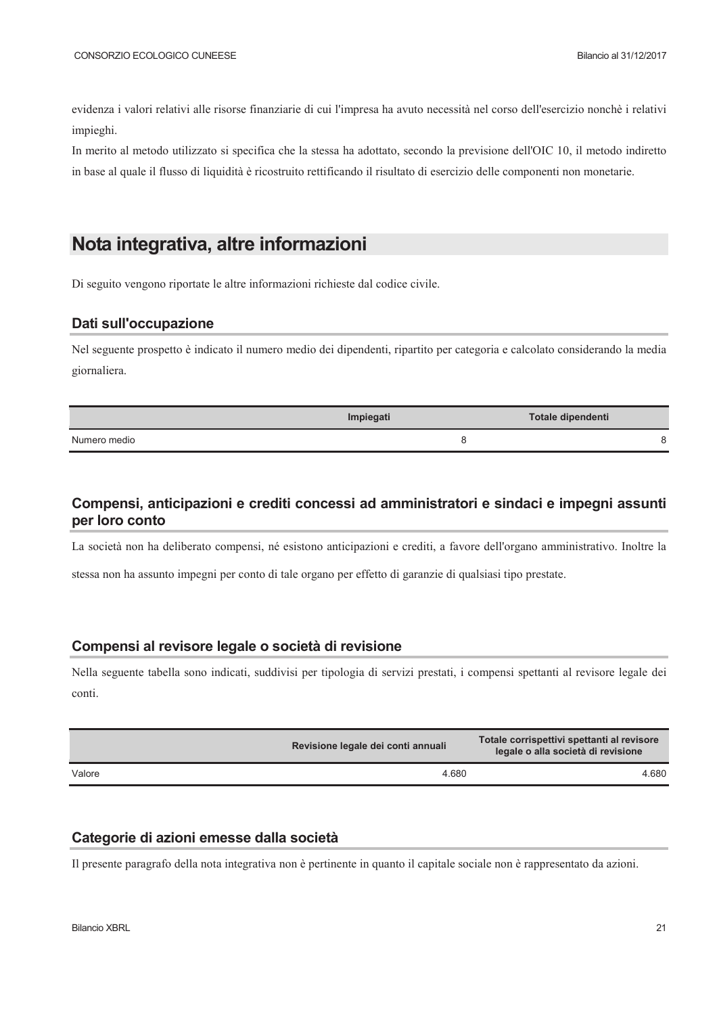evidenza i valori relativi alle risorse finanziarie di cui l'impresa ha avuto necessità nel corso dell'esercizio nonchè i relativi impieghi.

In merito al metodo utilizzato si specifica che la stessa ha adottato, secondo la previsione dell'OIC 10, il metodo indiretto in base al quale il flusso di liquidità è ricostruito rettificando il risultato di esercizio delle componenti non monetarie.

# Nota integrativa, altre informazioni

Di seguito vengono riportate le altre informazioni richieste dal codice civile.

#### Dati sull'occupazione

Nel seguente prospetto è indicato il numero medio dei dipendenti, ripartito per categoria e calcolato considerando la media giornaliera.

|              | Totale dipendenti<br>Impiegati |  |
|--------------|--------------------------------|--|
| Numero medio |                                |  |

#### Compensi, anticipazioni e crediti concessi ad amministratori e sindaci e impegni assunti per loro conto

La società non ha deliberato compensi, né esistono anticipazioni e crediti, a favore dell'organo amministrativo. Inoltre la

stessa non ha assunto impegni per conto di tale organo per effetto di garanzie di qualsiasi tipo prestate.

#### Compensi al revisore legale o società di revisione

Nella seguente tabella sono indicati, suddivisi per tipologia di servizi prestati, i compensi spettanti al revisore legale dei conti.

|        | Revisione legale dei conti annuali | Totale corrispettivi spettanti al revisore<br>legale o alla società di revisione |
|--------|------------------------------------|----------------------------------------------------------------------------------|
| Valore | 4.680                              | 4.680                                                                            |

#### Categorie di azioni emesse dalla società

Il presente paragrafo della nota integrativa non è pertinente in quanto il capitale sociale non è rappresentato da azioni.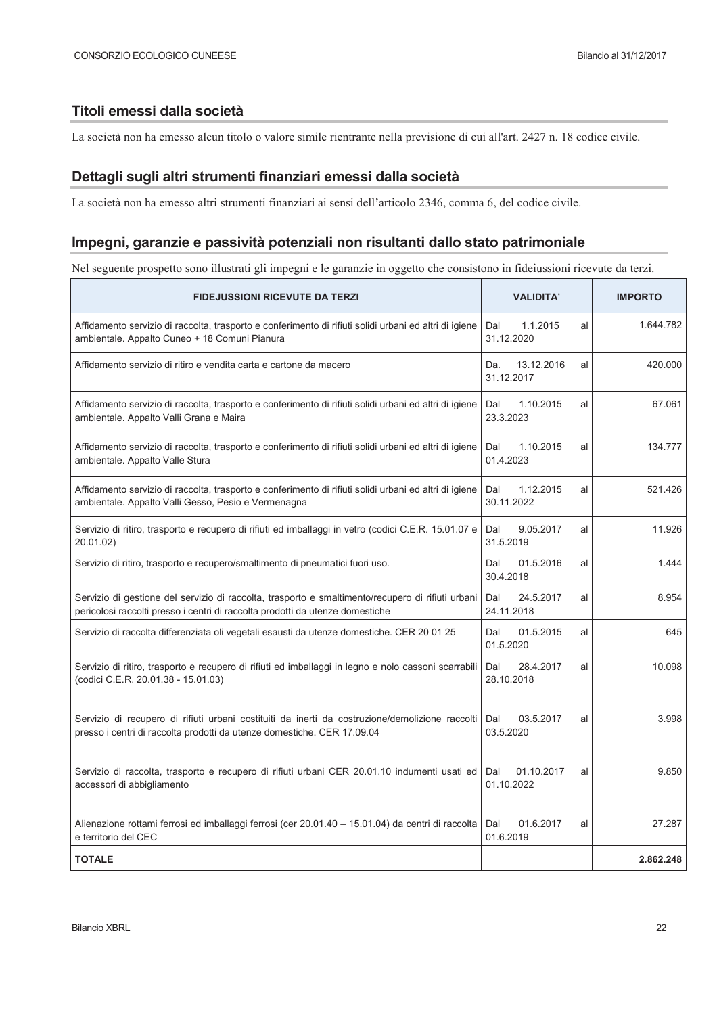#### Titoli emessi dalla società

La società non ha emesso alcun titolo o valore simile rientrante nella previsione di cui all'art. 2427 n. 18 codice civile.

#### Dettagli sugli altri strumenti finanziari emessi dalla società

La società non ha emesso altri strumenti finanziari ai sensi dell'articolo 2346, comma 6, del codice civile.

#### Impegni, garanzie e passività potenziali non risultanti dallo stato patrimoniale

Nel seguente prospetto sono illustrati gli impegni e le garanzie in oggetto che consistono in fideiussioni ricevute da terzi.

| <b>FIDEJUSSIONI RICEVUTE DA TERZI</b>                                                                                                                                              | <b>VALIDITA'</b>                      | <b>IMPORTO</b> |
|------------------------------------------------------------------------------------------------------------------------------------------------------------------------------------|---------------------------------------|----------------|
| Affidamento servizio di raccolta, trasporto e conferimento di rifiuti solidi urbani ed altri di igiene<br>ambientale. Appalto Cuneo + 18 Comuni Pianura                            | Dal<br>1.1.2015<br>al<br>31.12.2020   | 1.644.782      |
| Affidamento servizio di ritiro e vendita carta e cartone da macero                                                                                                                 | 13.12.2016<br>Da.<br>al<br>31.12.2017 | 420.000        |
| Affidamento servizio di raccolta, trasporto e conferimento di rifiuti solidi urbani ed altri di igiene<br>ambientale. Appalto Valli Grana e Maira                                  | 1.10.2015<br>Dal<br>al<br>23.3.2023   | 67.061         |
| Affidamento servizio di raccolta, trasporto e conferimento di rifiuti solidi urbani ed altri di igiene<br>ambientale. Appalto Valle Stura                                          | Dal<br>1.10.2015<br>al<br>01.4.2023   | 134.777        |
| Affidamento servizio di raccolta, trasporto e conferimento di rifiuti solidi urbani ed altri di igiene<br>ambientale. Appalto Valli Gesso, Pesio e Vermenagna                      | Dal<br>1.12.2015<br>al<br>30.11.2022  | 521.426        |
| Servizio di ritiro, trasporto e recupero di rifiuti ed imballaggi in vetro (codici C.E.R. 15.01.07 e<br>20.01.02)                                                                  | Dal<br>9.05.2017<br>al<br>31.5.2019   | 11.926         |
| Servizio di ritiro, trasporto e recupero/smaltimento di pneumatici fuori uso.                                                                                                      | 01.5.2016<br>Dal<br>al<br>30.4.2018   | 1.444          |
| Servizio di gestione del servizio di raccolta, trasporto e smaltimento/recupero di rifiuti urbani<br>pericolosi raccolti presso i centri di raccolta prodotti da utenze domestiche | Dal<br>24.5.2017<br>al<br>24.11.2018  | 8.954          |
| Servizio di raccolta differenziata oli vegetali esausti da utenze domestiche. CER 20 01 25                                                                                         | Dal<br>01.5.2015<br>al<br>01.5.2020   | 645            |
| Servizio di ritiro, trasporto e recupero di rifiuti ed imballaggi in legno e nolo cassoni scarrabili<br>(codici C.E.R. 20.01.38 - 15.01.03)                                        | Dal<br>28.4.2017<br>al<br>28.10.2018  | 10.098         |
| Servizio di recupero di rifiuti urbani costituiti da inerti da costruzione/demolizione raccolti<br>presso i centri di raccolta prodotti da utenze domestiche. CER 17.09.04         | Dal<br>03.5.2017<br>al<br>03.5.2020   | 3.998          |
| Servizio di raccolta, trasporto e recupero di rifiuti urbani CER 20.01.10 indumenti usati ed<br>accessori di abbigliamento                                                         | 01.10.2017<br>Dal<br>al<br>01.10.2022 | 9.850          |
| Alienazione rottami ferrosi ed imballaggi ferrosi (cer 20.01.40 - 15.01.04) da centri di raccolta<br>e territorio del CEC                                                          | 01.6.2017<br>Dal<br>al<br>01.6.2019   | 27.287         |
| <b>TOTALE</b>                                                                                                                                                                      |                                       | 2.862.248      |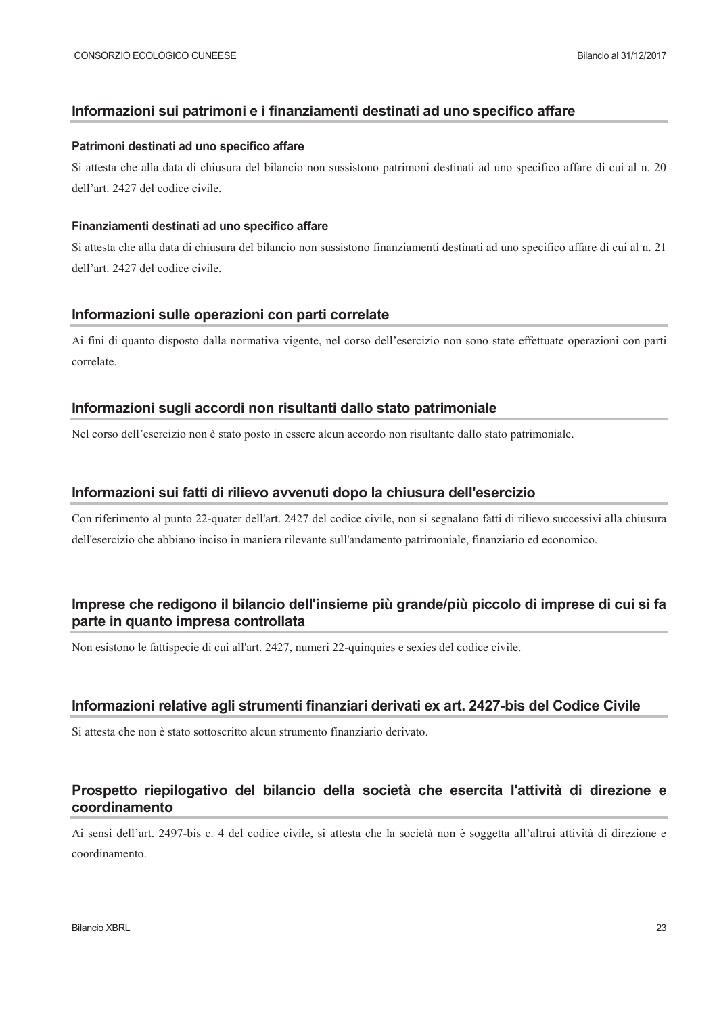#### Informazioni sui patrimoni e i finanziamenti destinati ad uno specifico affare

#### Patrimoni destinati ad uno specifico affare

Si attesta che alla data di chiusura del bilancio non sussistono patrimoni destinati ad uno specifico affare di cui al n. 20 dell'art. 2427 del codice civile.

#### Finanziamenti destinati ad uno specifico affare

Si attesta che alla data di chiusura del bilancio non sussistono finanziamenti destinati ad uno specifico affare di cui al n. 21 dell'art. 2427 del codice civile.

#### Informazioni sulle operazioni con parti correlate

Ai fini di quanto disposto dalla normativa vigente, nel corso dell'esercizio non sono state effettuate operazioni con parti correlate.

#### Informazioni sugli accordi non risultanti dallo stato patrimoniale

Nel corso dell'esercizio non è stato posto in essere alcun accordo non risultante dallo stato patrimoniale.

#### Informazioni sui fatti di rilievo avvenuti dopo la chiusura dell'esercizio

Con riferimento al punto 22-quater dell'art. 2427 del codice civile, non si segnalano fatti di rilievo successivi alla chiusura dell'esercizio che abbiano inciso in maniera rilevante sull'andamento patrimoniale, finanziario ed economico.

#### Imprese che redigono il bilancio dell'insieme più grande/più piccolo di imprese di cui si fa parte in quanto impresa controllata

Non esistono le fattispecie di cui all'art. 2427, numeri 22-quinquies e sexies del codice civile.

#### Informazioni relative agli strumenti finanziari derivati ex art. 2427-bis del Codice Civile

Si attesta che non è stato sottoscritto alcun strumento finanziario derivato.

#### Prospetto riepilogativo del bilancio della società che esercita l'attività di direzione e coordinamento

Ai sensi dell'art. 2497-bis c. 4 del codice civile, si attesta che la società non è soggetta all'altrui attività di direzione e coordinamento